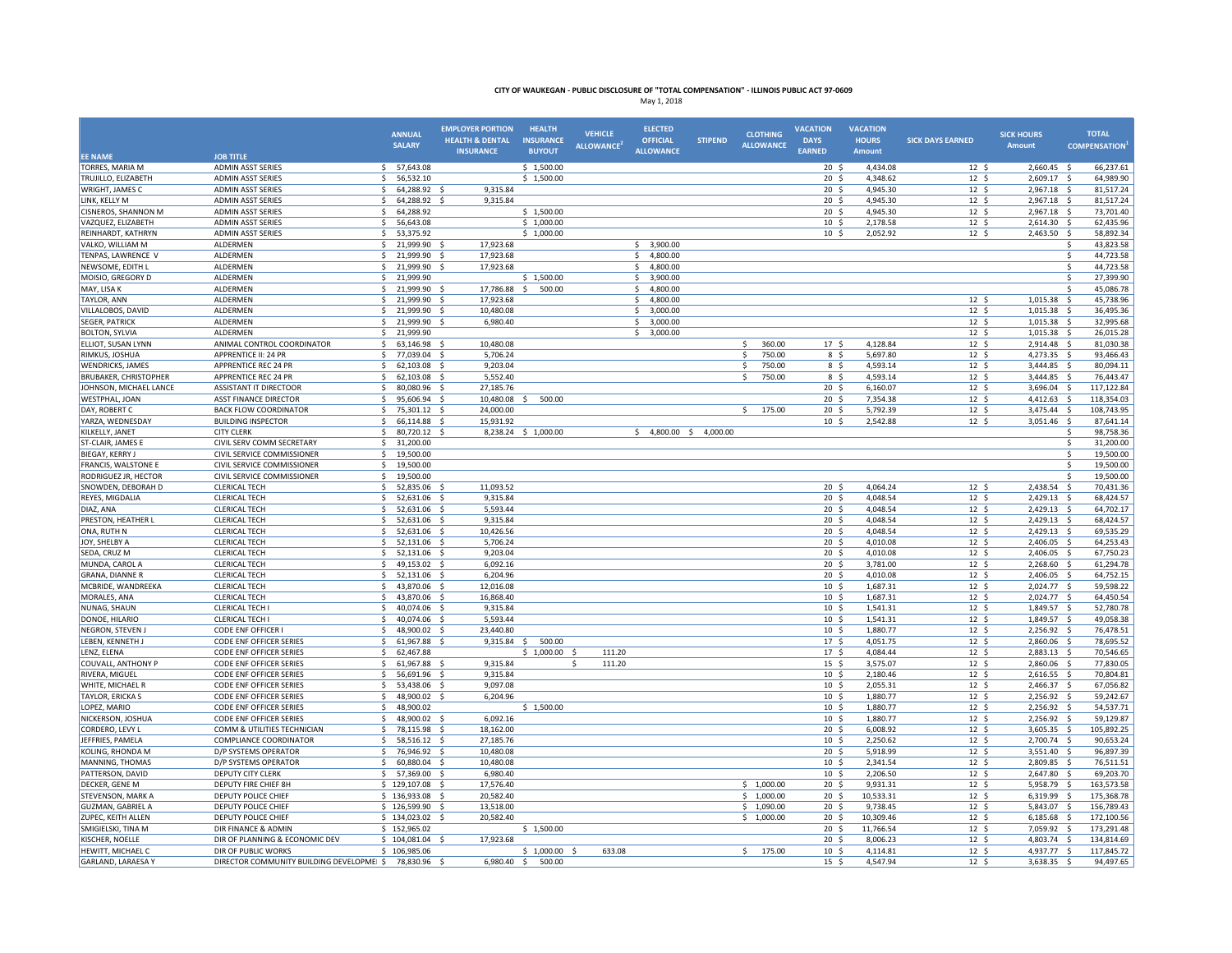|                                        |                                                                  | <b>ANNUAL</b>                  | <b>EMPLOYER PORTION</b>                        | <b>HEALTH</b>                     | <b>VEHICLE</b>          | <b>ELECTED</b>                      |                | <b>CLOTHING</b>        | <b>VACATION</b><br><b>DAYS</b>     | <b>VACATION</b>               |                                     | <b>SICK HOURS</b>          | <b>TOTAL</b>                          |
|----------------------------------------|------------------------------------------------------------------|--------------------------------|------------------------------------------------|-----------------------------------|-------------------------|-------------------------------------|----------------|------------------------|------------------------------------|-------------------------------|-------------------------------------|----------------------------|---------------------------------------|
|                                        |                                                                  | <b>SALARY</b>                  | <b>HEALTH &amp; DENTAL</b><br><b>INSURANCE</b> | <b>INSURANCE</b><br><b>BUYOUT</b> | <b>ALLOWANCE</b>        | <b>OFFICIAL</b><br><b>ALLOWANCE</b> | <b>STIPEND</b> | <b>ALLOWANCE</b>       | <b>EARNED</b>                      | <b>HOURS</b><br><b>Amount</b> | <b>SICK DAYS EARNED</b>             | <b>Amount</b>              | <b>COMPENSATION</b>                   |
| <b>EE NAME</b>                         | <b>JOB TITLE</b>                                                 |                                |                                                |                                   |                         |                                     |                |                        |                                    |                               |                                     |                            |                                       |
| TORRES, MARIA M                        | <b>ADMIN ASST SERIES</b><br>\$                                   | 57,643.08                      |                                                | \$1,500.00                        |                         |                                     |                |                        | 20 <sup>5</sup>                    | 4,434.08                      | 12 <sup>5</sup>                     | 2,660.45 \$                | 66,237.61                             |
| TRUJILLO, ELIZABETH<br>WRIGHT, JAMES C | <b>ADMIN ASST SERIES</b><br>\$<br><b>ADMIN ASST SERIES</b><br>Ś. | 56,532.10<br>64,288.92         | 9,315.84<br>- S                                | \$1,500.00                        |                         |                                     |                |                        | 20 <sup>5</sup><br>20 <sup>5</sup> | 4,348.62<br>4.945.30          | 12 <sup>5</sup><br>12 <sup>5</sup>  | 2,609.17 \$<br>2,967.18 \$ | 64,989.90<br>81,517.24                |
|                                        | \$                                                               |                                |                                                |                                   |                         |                                     |                |                        | $20 \frac{2}{3}$                   |                               |                                     |                            | 81,517.24<br>-\$                      |
| LINK, KELLY M<br>CISNEROS, SHANNON M   | <b>ADMIN ASST SERIES</b><br><b>ADMIN ASST SERIES</b><br>Ŝ.       | 64,288.92<br>64,288.92         | 9,315.84                                       | \$1,500.00                        |                         |                                     |                |                        | 20 <sup>5</sup>                    | 4,945.30<br>4,945.30          | $12 \frac{2}{7}$<br>12 <sup>5</sup> | 2,967.18<br>2,967.18 \$    | 73,701.40                             |
| VAZQUEZ, ELIZABETH                     | <b>ADMIN ASST SERIES</b><br>Ŝ.                                   | 56,643.08                      |                                                | \$1,000.00                        |                         |                                     |                |                        | 10 <sup>5</sup>                    | 2,178.58                      | 12 <sup>5</sup>                     | 2,614.30                   | 62,435.96<br>- \$                     |
| REINHARDT, KATHRYN                     | <b>ADMIN ASST SERIES</b><br>\$                                   | 53,375.92                      |                                                | \$1,000.00                        |                         |                                     |                |                        | 10 <sup>5</sup>                    | 2,052.92                      | 12 <sup>5</sup>                     | 2,463.50 \$                | 58,892.34                             |
| VALKO, WILLIAM M                       | ALDERMEN<br><sup>\$</sup>                                        | 21,999.90                      | 17,923.68                                      |                                   |                         | \$3,900.00                          |                |                        |                                    |                               |                                     |                            | 43,823.58<br>$\mathsf{s}$             |
| TENPAS, LAWRENCE V                     | ALDERMEN<br>Ŝ.                                                   | 21,999.90                      | 17,923.68                                      |                                   |                         | 4,800.00<br>Ś.                      |                |                        |                                    |                               |                                     |                            | $\zeta$<br>44,723.58                  |
| NEWSOME, EDITH L                       | ALDERMEN<br>Ŝ.                                                   | 21,999.90                      | 17,923.68<br>$\dot{\mathbf{s}}$                |                                   |                         | 4,800.00<br>Ś.                      |                |                        |                                    |                               |                                     |                            | 44,723.58<br>\$                       |
| MOISIO, GREGORY D                      | ALDERMEN<br>\$                                                   | 21,999.90                      |                                                | \$1,500.00                        |                         | 3,900.00<br>\$                      |                |                        |                                    |                               |                                     |                            | 27,399.90<br>-Ś                       |
| MAY, LISA K                            | ALDERMEN<br>Ŝ.                                                   | 21,999.90                      | 17,786.88                                      | 500.00<br>$\zeta$                 |                         | 4,800.00<br>Ŝ.                      |                |                        |                                    |                               |                                     |                            | 45,086.78<br>-Ś                       |
| TAYLOR, ANN                            | Ś.<br>ALDERMEN                                                   | 21,999.90                      | 17,923.68<br>$\mathbf{S}$                      |                                   |                         | Š.<br>4,800.00                      |                |                        |                                    |                               | 12S                                 | 1,015.38                   | S.<br>45,738.96                       |
| VILLALOBOS, DAVID                      | \$<br>ALDERMEN                                                   | 21,999.90                      | 10,480.08                                      |                                   |                         | Ś.<br>3,000.00                      |                |                        |                                    |                               | 12 <sup>5</sup>                     | 1,015.38                   | 36,495.36<br><sub>S</sub>             |
| <b>SEGER, PATRICK</b>                  | <b>ALDERMEN</b><br>Ŝ.                                            | 21,999.90 \$                   | 6.980.40                                       |                                   |                         | Ś.<br>3,000.00                      |                |                        |                                    |                               | 12 <sup>5</sup>                     | 1,015.38                   | -Ś<br>32.995.68                       |
| <b>BOLTON, SYLVIA</b>                  | ALDERMEN<br>\$                                                   | 21,999.90                      |                                                |                                   |                         | 3,000.00<br>\$                      |                |                        |                                    |                               | $12 \frac{2}{7}$                    | 1,015.38                   | 26,015.28<br>- Ś                      |
| ELLIOT, SUSAN LYNN                     | ANIMAL CONTROL COORDINATOR<br>\$                                 | 63,146.98 \$                   | 10,480.08                                      |                                   |                         |                                     |                | \$<br>360.00           | 17 <sup>5</sup>                    | 4,128.84                      | 12 <sup>5</sup>                     | 2,914.48                   | 81,030.38<br>- S                      |
| RIMKUS, JOSHUA                         | <b>APPRENTICE II: 24 PR</b><br>$\mathsf{s}$                      | 77.039.04                      | 5,706.24<br>$\mathbf{S}$                       |                                   |                         |                                     |                | $\mathsf{s}$<br>750.00 | 8 \$                               | 5.697.80                      | 12 <sup>5</sup>                     | 4,273.35                   | $\mathsf{S}$<br>93,466.43             |
| <b>WENDRICKS, JAMES</b>                | APPRENTICE REC 24 PR<br><b>S</b>                                 | 62,103.08                      | 9,203.04                                       |                                   |                         |                                     |                | 750.00<br>.s           | 8\$                                | 4,593.14                      | $12 \frac{2}{7}$                    | 3,444.85                   | 80,094.11<br>- S                      |
| <b>BRUBAKER, CHRISTOPHER</b>           | <b>APPRENTICE REC 24 PR</b><br>Ŝ.                                | 62,103.08                      | 5,552.40                                       |                                   |                         |                                     |                | Ŝ.<br>750.00           | 8\$                                | 4,593.14                      | 12 <sup>5</sup>                     | 3,444.85                   | 76,443.47                             |
| JOHNSON, MICHAEL LANCE                 | <b>ASSISTANT IT DIRECTOOR</b><br>\$                              | 80,080.96                      | 27,185.76<br>- S                               |                                   |                         |                                     |                |                        | 20 <sup>5</sup>                    | 6,160.07                      | $12 \frac{2}{7}$                    | 3,696.04 \$                | 117,122.84                            |
| WESTPHAL, JOAN                         | <b>ASST FINANCE DIRECTOR</b><br>S.<br>$\mathsf{S}$               | 95,606.94                      | 10,480.08                                      | 500.00                            |                         |                                     |                | $\mathsf{S}$           | 20 <sup>5</sup>                    | 7,354.38                      | 12S                                 | 4,412.63 \$                | 118,354.03                            |
| DAY, ROBERT C                          | <b>BACK FLOW COORDINATOR</b><br>Ŝ.                               | 75,301.12                      | 24,000.00                                      |                                   |                         |                                     |                | 175.00                 | 20 <sub>5</sub>                    | 5,792.39                      | 12 <sup>5</sup>                     | 3,475.44 \$                | 108,743.95                            |
| YARZA, WEDNESDAY<br>KILKELLY, JANET    | <b>BUILDING INSPECTOR</b><br><b>CITY CLERK</b><br>Ŝ.             | 66,114.88<br>80,720.12 \$      | 15,931.92                                      | 8,238.24 \$ 1,000.00              |                         | $$4,800.00$$ $$4,000.00$            |                |                        | 10 <sup>5</sup>                    | 2,542.88                      | $12 \frac{2}{7}$                    | 3,051.46                   | -\$<br>87,641.14<br>\$<br>98,758.36   |
| ST-CLAIR, JAMES E                      | CIVIL SERV COMM SECRETARY<br>\$                                  | 31,200.00                      |                                                |                                   |                         |                                     |                |                        |                                    |                               |                                     |                            | \$<br>31,200.00                       |
| BIEGAY, KERRY J                        | CIVIL SERVICE COMMISSIONER<br>S.                                 | 19,500.00                      |                                                |                                   |                         |                                     |                |                        |                                    |                               |                                     |                            | \$<br>19,500.00                       |
| FRANCIS, WALSTONE E                    | CIVIL SERVICE COMMISSIONER<br>$\mathsf{s}$                       | 19,500.00                      |                                                |                                   |                         |                                     |                |                        |                                    |                               |                                     |                            | <sup>5</sup><br>19,500.00             |
| RODRIGUEZ JR, HECTOR                   | CIVIL SERVICE COMMISSIONER<br>Ŝ.                                 | 19,500.00                      |                                                |                                   |                         |                                     |                |                        |                                    |                               |                                     |                            | 19,500.00                             |
| SNOWDEN, DEBORAH D                     | <b>CLERICAL TECH</b><br><b>S</b>                                 | 52.835.06                      | 11.093.52                                      |                                   |                         |                                     |                |                        | 20 <sub>5</sub>                    | 4.064.24                      | 12 <sup>5</sup>                     | 2.438.54                   | -Ś<br>70.431.36                       |
| REYES, MIGDALIA                        | <b>CLERICAL TECH</b><br>\$                                       | 52,631.06                      | 9,315.84                                       |                                   |                         |                                     |                |                        | $20 \frac{2}{3}$                   | 4,048.54                      | $12 \frac{2}{7}$                    | 2,429.13 \$                | 68,424.57                             |
| DIAZ, ANA                              | <b>CLERICAL TECH</b><br>$\mathsf{S}$                             | 52,631.06                      | 5,593.44<br>- S                                |                                   |                         |                                     |                |                        | 20 <sub>5</sub>                    | 4,048.54                      | 12 <sup>5</sup>                     | 2,429.13 \$                | 64,702.17                             |
| PRESTON, HEATHER L                     | <b>CLERICAL TECH</b><br>Ś.                                       | 52,631.06                      | 9,315.84                                       |                                   |                         |                                     |                |                        | 20 <sub>5</sub>                    | 4,048.54                      | 12 <sup>5</sup>                     | 2,429.13 \$                | 68,424.57                             |
| ONA, RUTH N                            | \$<br><b>CLERICAL TECH</b>                                       | 52,631.06                      | 10,426.56                                      |                                   |                         |                                     |                |                        | 20 <sup>5</sup>                    | 4,048.54                      | 12 <sup>5</sup>                     | 2,429.13                   | 69,535.29<br>- \$                     |
| JOY, SHELBY A                          | <b>CLERICAL TECH</b><br>\$                                       | 52,131.06                      | - \$<br>5,706.24                               |                                   |                         |                                     |                |                        | 20 <sup>5</sup>                    | 4,010.08                      | 12 <sup>5</sup>                     | 2,406.05 \$                | 64,253.43                             |
| SEDA, CRUZ M                           | <b>CLERICAL TECH</b><br>\$                                       | 52,131.06 \$                   | 9,203.04                                       |                                   |                         |                                     |                |                        | 20 <sub>5</sub>                    | 4,010.08                      | $12 \frac{2}{7}$                    | 2,406.05 \$                | 67,750.23                             |
| MUNDA, CAROL A                         | <b>CLERICAL TECH</b><br>$\mathsf{S}$                             | 49,153.02 \$                   | 6,092.16                                       |                                   |                         |                                     |                |                        | 20 <sup>5</sup>                    | 3,781.00                      | 12 <sup>5</sup>                     | 2,268.60                   | 61,294.78<br>$\sim$                   |
| GRANA, DIANNE R                        | <b>CLERICAL TECH</b><br>$\zeta$                                  | 52,131.06                      | 6,204.96                                       |                                   |                         |                                     |                |                        | 20 <sub>5</sub>                    | 4.010.08                      | 12 <sup>5</sup>                     | 2,406.05                   | 64,752.15                             |
| MCBRIDE, WANDREEKA                     | <b>CLERICAL TECH</b>                                             | 43,870.06                      | 12,016.08<br>$\sim$                            |                                   |                         |                                     |                |                        | 10 <sup>5</sup><br>10 <sup>5</sup> | 1,687.31                      | 12 <sup>5</sup>                     | 2,024.77<br>2.024.77       | 59,598.22<br>64.450.54                |
| MORALES, ANA                           | <b>CLERICAL TECH</b><br>Ŝ.                                       | 43,870.06                      | 16,868.40                                      |                                   |                         |                                     |                |                        | 10 <sup>5</sup>                    | 1,687.31                      | 12 <sup>5</sup>                     | 1,849.57 \$                | 52,780.78                             |
| NUNAG, SHAUN<br>DONOE, HILARIO         | <b>CLERICAL TECH</b><br>-S<br><b>CLERICAL TECHI</b><br>S.        | 40,074.06 \$<br>40,074.06 \$   | 9,315.84<br>5.593.44                           |                                   |                         |                                     |                |                        | 10 <sup>5</sup>                    | 1,541.31<br>1,541.31          | 12 <sup>5</sup><br>$12 \quad$       | 1,849.57 \$                | 49,058.38                             |
| NEGRON, STEVEN J                       | <b>CODE ENF OFFICER</b><br>Ŝ.                                    | 48,900.02 \$                   | 23,440.80                                      |                                   |                         |                                     |                |                        | 10 <sup>5</sup>                    | 1,880.77                      | 12 <sup>5</sup>                     | 2,256.92 \$                | 76,478.51                             |
| LEBEN, KENNETH J                       | <b>CODE ENF OFFICER SERIES</b><br>\$                             | 61,967.88                      | 9,315.84                                       | 500.00<br>- Ś                     |                         |                                     |                |                        | 17 <sup>5</sup>                    | 4,051.75                      | 12 <sup>5</sup>                     | 2,860.06                   | 78,695.52<br>- S                      |
| LENZ. ELENA                            | <b>CODE ENF OFFICER SERIES</b><br>\$                             | 62.467.88                      |                                                | \$1,000.00                        | 111.20                  |                                     |                |                        | 17 <sup>5</sup>                    | 4.084.44                      | 12 <sup>5</sup>                     | 2,883.13 \$                | 70.546.65                             |
| <b>COUVALL, ANTHONY P</b>              | <b>CODE ENF OFFICER SERIES</b><br>\$                             | 61,967.88                      | 9,315.84                                       |                                   | 111.20<br>-S            |                                     |                |                        | $15 \;$ \$                         | 3,575.07                      | $12 \frac{1}{2}$                    | 2,860.06                   | 77,830.05<br>- S                      |
| RIVERA, MIGUEL                         | <b>CODE ENF OFFICER SERIES</b><br>$\mathsf{S}$                   | 56,691.96                      | 9,315.84                                       |                                   |                         |                                     |                |                        | 10 <sup>5</sup>                    | 2,180.46                      | 12 <sup>5</sup>                     | 2,616.55                   | 70,804.81                             |
| WHITE, MICHAEL R                       | CODE ENF OFFICER SERIES<br>$\mathsf{s}$                          | 53,438.06                      | 9,097.08                                       |                                   |                         |                                     |                |                        | 10 <sup>5</sup>                    | 2,055.31                      | 12 <sup>5</sup>                     | 2,466.37                   | 67,056.82                             |
| TAYLOR, ERICKA S                       | <b>CODE ENF OFFICER SERIES</b>                                   | 48,900.02                      | 6,204.96                                       |                                   |                         |                                     |                |                        | 10 <sub>5</sub>                    | 1.880.77                      | 12 <sup>5</sup>                     | 2,256.92                   | 59,242.67                             |
| LOPEZ, MARIO                           | <b>CODE ENF OFFICER SERIES</b><br>Ŝ.                             | 48,900.02                      |                                                | \$1,500.00                        |                         |                                     |                |                        | 10 <sup>5</sup>                    | 1,880.77                      | $12 \quad$                          | 2,256.92                   | 54,537.71                             |
| NICKERSON, JOSHUA                      | CODE ENF OFFICER SERIES<br>\$                                    | 48,900.02                      | 6.092.16                                       |                                   |                         |                                     |                |                        | $10 \,$ \$                         | 1,880.77                      | $12 \quad$                          | 2,256.92 \$                | 59,129.87                             |
| CORDERO, LEVY L                        | COMM & UTILITIES TECHNICIAN<br>\$                                | 78,115.98 \$                   | 18,162.00                                      |                                   |                         |                                     |                |                        | 20 <sup>5</sup>                    | 6,008.92                      | 12 <sup>5</sup>                     | 3,605.35 \$                | 105,892.25                            |
| JEFFRIES, PAMELA                       | <b>COMPLIANCE COORDINATOR</b><br>\$                              | 58,516.12                      | 27,185.76<br>- S                               |                                   |                         |                                     |                |                        | 10 <sup>5</sup>                    | 2,250.62                      | 12 <sup>5</sup>                     | 2,700.74 \$                | 90,653.24                             |
| KOLING, RHONDA M                       | D/P SYSTEMS OPERATOR<br>\$                                       | 76,946.92                      | 10,480.08                                      |                                   |                         |                                     |                |                        | 20 <sup>5</sup>                    | 5,918.99                      | 12 <sup>5</sup>                     | 3,551.40                   | 96,897.39<br>- S                      |
| MANNING, THOMAS                        | D/P SYSTEMS OPERATOR<br>\$                                       | 60,880.04 \$                   | 10,480.08                                      |                                   |                         |                                     |                |                        | 10 <sup>5</sup>                    | 2.341.54                      | $\overline{12}$ \$                  | 2,809.85                   | 76,511.51                             |
| PATTERSON, DAVID<br>DECKER. GENE M     | <b>DEPUTY CITY CLERK</b><br>\$<br>DEPUTY FIRE CHIEF 8H           | 57,369.00 \$<br>\$129.107.08\$ | 6,980.40<br>17.576.40                          |                                   |                         |                                     |                | 5 1,000,00             | 10 <sup>5</sup><br>20 <sub>5</sub> | 2,206.50<br>9.931.31          | 12 <sup>5</sup><br>12 <sup>5</sup>  | 2,647.80<br>5.958.79       | - \$<br>69,203.70<br>163.573.58<br>-Ś |
| STEVENSON, MARK A                      | DEPUTY POLICE CHIEF                                              | \$136,933.08                   | 20,582.40                                      |                                   |                         |                                     |                | \$<br>1,000.00         | 20 <sup>5</sup>                    | 10,533.31                     | $12 \frac{2}{7}$                    | 6,319.99                   | 175,368.78<br>-\$                     |
| GUZMAN, GABRIEL A                      | DEPUTY POLICE CHIEF                                              | \$126,599.90                   | 13,518.00<br>- S                               |                                   |                         |                                     |                | \$1,090.00             | 20 <sup>5</sup>                    | 9,738.45                      | 12 <sup>5</sup>                     | 5,843.07                   | -\$<br>156,789.43                     |
| ZUPEC, KEITH ALLEN                     | DEPUTY POLICE CHIEF                                              | \$134,023,02                   | 20,582.40<br>$\sim$                            |                                   |                         |                                     |                | \$1,000.00             | 20 <sub>5</sub>                    | 10.309.46                     | 12 <sup>5</sup>                     | 6.185.68                   | S.<br>172.100.56                      |
| SMIGIELSKI, TINA M                     | DIR FINANCE & ADMIN                                              | \$152,965.02                   |                                                | \$1,500.00                        |                         |                                     |                |                        | $20 \frac{2}{3}$                   | 11,766.54                     | $12 \frac{2}{7}$                    | 7,059.92 \$                | 173,291.48                            |
| KISCHER, NOELLE                        | DIR OF PLANNING & ECONOMIC DEV                                   | \$104,081.04\$                 | 17,923.68                                      |                                   |                         |                                     |                |                        | 20 <sup>5</sup>                    | 8,006.23                      | 12 <sup>5</sup>                     | 4,803.74 \$                | 134,814.69                            |
| HEWITT, MICHAEL C                      | DIR OF PUBLIC WORKS                                              | \$106,985.06                   |                                                | \$1,000.00                        | 633.08<br>$\mathcal{S}$ |                                     |                | Ś.<br>175.00           | 10 <sup>5</sup>                    | 4,114.81                      | 12 <sup>5</sup>                     | 4,937.77                   | S.<br>117,845.72                      |
| <b>GARLAND, LARAESA Y</b>              | DIRECTOR COMMUNITY BUILDING DEVELOPMEI \$                        | 78,830.96                      | 6,980.40                                       | -\$<br>500.00                     |                         |                                     |                |                        | 15 <sup>5</sup>                    | 4,547.94                      | 12S                                 | 3,638.35                   | 94,497.65<br>-\$                      |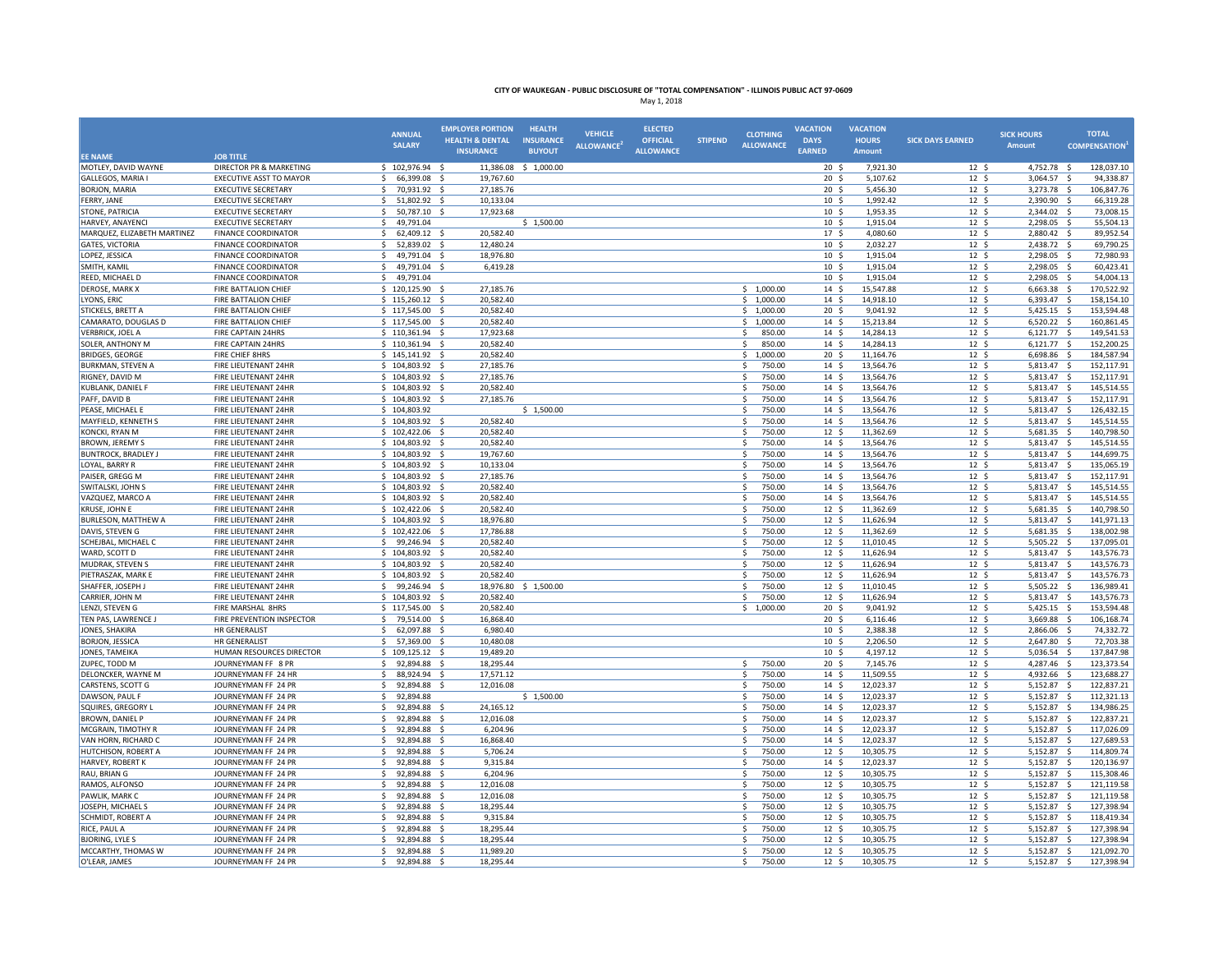|                                           |                                                       | <b>ANNUAL</b><br><b>SALARY</b>                     | <b>EMPLOYER PORTION</b><br><b>HEALTH &amp; DENTAL</b><br><b>INSURANCE</b> | <b>HEALTH</b><br><b>INSURANCE</b><br><b>BUYOUT</b> | <b>VEHICLE</b><br><b>ALLOWANCE</b> | <b>ELECTED</b><br><b>OFFICIAL</b><br><b>ALLOWANCE</b> | <b>STIPEND</b> | <b>CLOTHING</b><br><b>ALLOWANCE</b> | <b>VACATION</b><br><b>DAYS</b><br><b>EARNED</b> | <b>VACATION</b><br><b>HOURS</b><br>Amount | <b>SICK DAYS EARNED</b>            | <b>SICK HOURS</b><br><b>Amount</b> | <b>TOTAL</b><br><b>COMPENSATION</b>                  |
|-------------------------------------------|-------------------------------------------------------|----------------------------------------------------|---------------------------------------------------------------------------|----------------------------------------------------|------------------------------------|-------------------------------------------------------|----------------|-------------------------------------|-------------------------------------------------|-------------------------------------------|------------------------------------|------------------------------------|------------------------------------------------------|
| <b>EE NAME</b>                            | <b>JOB TITLE</b>                                      |                                                    |                                                                           |                                                    |                                    |                                                       |                |                                     |                                                 |                                           |                                    |                                    |                                                      |
| MOTLEY, DAVID WAYNE                       | <b>DIRECTOR PR &amp; MARKETING</b>                    | \$102,976.94                                       | \$<br>11,386.08                                                           | \$1,000.00                                         |                                    |                                                       |                |                                     | 20 <sub>5</sub>                                 | 7,921.30                                  | 12 <sup>5</sup>                    | 4,752.78 \$                        | 128,037.10                                           |
| GALLEGOS, MARIA I<br><b>BORJON, MARIA</b> | EXECUTIVE ASST TO MAYOR<br><b>EXECUTIVE SECRETARY</b> | 66,399.08 \$<br>\$<br>70,931.92 \$<br>$\mathsf{S}$ | 19,767.60<br>27,185.76                                                    |                                                    |                                    |                                                       |                |                                     | $20 \frac{2}{3}$<br>20 <sub>5</sub>             | 5,107.62<br>5,456.30                      | 12 <sup>5</sup><br>12 <sup>5</sup> | 3,064.57 \$<br>3,273.78 \$         | 94,338.87<br>106,847.76                              |
| FERRY, JANE                               | <b>EXECUTIVE SECRETARY</b>                            | $\mathsf{S}$<br>51,802.92                          | 10,133.04                                                                 |                                                    |                                    |                                                       |                |                                     | 10 <sup>5</sup>                                 | 1,992.42                                  | 12S                                | 2,390.90                           | 66,319.28<br>- Ś                                     |
| STONE, PATRICIA                           | <b>EXECUTIVE SECRETARY</b>                            | -Ś<br>50,787.10                                    | 17,923.68                                                                 |                                                    |                                    |                                                       |                |                                     | 10 <sup>5</sup>                                 | 1,953.35                                  | 12 <sup>5</sup>                    | 2,344.02                           | -\$<br>73,008.15                                     |
| HARVEY, ANAYENCI                          | <b>EXECUTIVE SECRETARY</b>                            | 49,791.04<br>\$                                    |                                                                           | \$1,500.00                                         |                                    |                                                       |                |                                     | 10 <sup>5</sup>                                 | 1,915.04                                  | 12 <sup>5</sup>                    | 2,298.05                           | 55,504.13<br>- \$                                    |
| MARQUEZ, ELIZABETH MARTINEZ               | <b>FINANCE COORDINATOR</b>                            | 62,409.12<br>\$                                    | 20,582.40                                                                 |                                                    |                                    |                                                       |                |                                     | 17 <sup>5</sup>                                 | 4,080.60                                  | 12 <sup>5</sup>                    | 2,880.42 \$                        | 89,952.54                                            |
| <b>GATES, VICTORIA</b>                    | <b>FINANCE COORDINATOR</b>                            | 52,839.02<br>-S<br>- 5                             | 12,480.24                                                                 |                                                    |                                    |                                                       |                |                                     | 10 <sup>5</sup>                                 | 2,032.27                                  | 12 <sup>5</sup>                    | 2,438.72                           | 69,790.25<br>- \$                                    |
| LOPEZ, JESSICA                            | <b>FINANCE COORDINATOR</b>                            | -Ś<br>49,791.04<br>- s                             | 18,976.80                                                                 |                                                    |                                    |                                                       |                |                                     | 10 <sup>5</sup>                                 | 1,915.04                                  | $12 \text{ }$                      | 2,298.05                           | 72,980.93<br>- Ś                                     |
| SMITH, KAMIL                              | <b>FINANCE COORDINATOR</b>                            | -Ś<br>49,791.04                                    | 6,419.28                                                                  |                                                    |                                    |                                                       |                |                                     | 10 <sup>5</sup>                                 | 1,915.04                                  | 12 <sup>5</sup>                    | 2,298.05                           | 60,423.41<br>- Ś                                     |
| REED. MICHAEL D                           | <b>FINANCE COORDINATOR</b>                            | 49.791.04<br>$\mathsf{s}$                          |                                                                           |                                                    |                                    |                                                       |                |                                     | 10 <sup>5</sup>                                 | 1.915.04                                  | 12 <sup>5</sup>                    | 2,298.05                           | 54.004.13<br>$\dot{\mathbf{S}}$                      |
| DEROSE, MARK X                            | FIRE BATTALION CHIEF                                  | $$120,125.90$ \$                                   | 27,185.76                                                                 |                                                    |                                    |                                                       |                | \$1,000.00                          | 14S                                             | 15,547.88                                 | 12 <sup>5</sup>                    | $6,663.38$ \$                      | 170,522.92                                           |
| LYONS, ERIC                               | FIRE BATTALION CHIEF                                  | \$115,260.12\$                                     | 20,582.40                                                                 |                                                    |                                    |                                                       |                | \$1,000.00                          | 14S                                             | 14,918.10                                 | 12 <sup>5</sup>                    | $6,393.47$ \$                      | 158,154.10                                           |
| STICKELS, BRETT A                         | FIRE BATTALION CHIEF                                  | \$117,545.00                                       | 20,582.40                                                                 |                                                    |                                    |                                                       |                | \$1,000.00                          | 20 <sup>5</sup>                                 | 9,041.92                                  | 12 <sup>5</sup>                    | 5,425.15 \$                        | 153,594.48                                           |
| CAMARATO, DOUGLAS D                       | FIRE BATTALION CHIEF                                  | 117,545.00                                         | 20,582.40                                                                 |                                                    |                                    |                                                       |                | \$1,000.00                          | 14S                                             | 15,213.84                                 | 12 <sup>5</sup>                    | 6,520.22                           | S.<br>160,861.45                                     |
| <b>VERBRICK, JOEL A</b>                   | FIRE CAPTAIN 24HRS                                    | \$110,361.94<br>- S                                | 17.923.68                                                                 |                                                    |                                    |                                                       |                | 850.00<br>S.                        | 14S                                             | 14,284.13                                 | 12 <sup>5</sup>                    | $6,121.77$ \$                      | 149,541.53                                           |
| SOLER, ANTHONY M                          | FIRE CAPTAIN 24HRS                                    | $$110,361.94$ \$                                   | 20,582.40                                                                 |                                                    |                                    |                                                       |                | 850.00<br>\$                        | $14 \; \text{S}$                                | 14,284.13                                 | $12 \quad$                         | 6,121.77                           | 152,200.25<br>-\$                                    |
| <b>BRIDGES, GEORGE</b>                    | FIRE CHIEF 8HRS                                       | \$145,141.92<br>- \$                               | 20,582.40                                                                 |                                                    |                                    |                                                       |                | 1,000.00<br>\$                      | 20 <sup>5</sup>                                 | 11,164.76                                 | $12 \quad$                         | 6,698.86                           | 184,587.94<br>- \$                                   |
| <b>BURKMAN, STEVEN A</b>                  | FIRE LIEUTENANT 24HR                                  | \$104,803.92<br>- \$                               | 27,185.76                                                                 |                                                    |                                    |                                                       |                | 750.00<br>Ś                         | 14 <sup>5</sup>                                 | 13,564.76                                 | 12 <sup>5</sup>                    | 5,813.47                           | 152,117.91<br>S.                                     |
| RIGNEY, DAVID M                           | FIRE LIEUTENANT 24HR                                  | 104,803.92                                         | 27,185.76                                                                 |                                                    |                                    |                                                       |                | 750.00<br>.S                        | 14S                                             | 13,564.76                                 | 12 <sup>5</sup>                    | 5,813.47                           | 152,117.91<br>−\$                                    |
| KUBLANK, DANIEL F                         | FIRE LIEUTENANT 24HR                                  | \$104,803.92\$                                     | 20,582.40                                                                 |                                                    |                                    |                                                       |                | 750.00<br>\$                        | $14 \; \text{S}$                                | 13,564.76                                 | $12 \div$                          | 5,813.47 \$                        | 145,514.55                                           |
| PAFF, DAVID B                             | FIRE LIEUTENANT 24HR                                  | \$104,803.92                                       | 27,185.76                                                                 |                                                    |                                    |                                                       |                | \$<br>750.00                        | 14S                                             | 13,564.76                                 | 12 <sup>5</sup>                    | 5,813.47 \$                        | 152,117.91                                           |
| PEASE, MICHAEL E                          | FIRE LIEUTENANT 24HR                                  | \$104,803.92                                       |                                                                           | \$1,500.00                                         |                                    |                                                       |                | $\mathsf{s}$<br>750.00              | 14S                                             | 13,564.76                                 | 12 <sup>5</sup>                    | 5,813.47 \$                        | 126,432.15                                           |
| MAYFIELD, KENNETH S                       | FIRE LIEUTENANT 24HR                                  | \$104,803.92\$                                     | 20,582.40                                                                 |                                                    |                                    |                                                       |                | 750.00<br>Ś                         | 14S                                             | 13,564.76                                 | 12 <sup>5</sup>                    | 5,813.47 \$                        | 145,514.55                                           |
| KONCKI, RYAN M                            | FIRE LIEUTENANT 24HR                                  | \$102,422.06                                       | 20,582.40                                                                 |                                                    |                                    |                                                       |                | 750.00<br>\$                        | $12 \frac{2}{7}$                                | 11,362.69                                 | $12 \quad$                         | 5,681.35                           | 140,798.50<br>- S                                    |
| <b>BROWN, JEREMY S</b>                    | FIRE LIEUTENANT 24HR                                  | \$104,803.92\$                                     | 20,582.40                                                                 |                                                    |                                    |                                                       |                | 750.00<br>\$                        | 14S                                             | 13,564.76                                 | 12 <sup>5</sup>                    | 5,813.47 \$                        | 145,514.55                                           |
| <b>BUNTROCK, BRADLEY J</b>                | FIRE LIEUTENANT 24HR                                  | \$104,803.92\$                                     | 19,767.60                                                                 |                                                    |                                    |                                                       |                | 750.00<br>\$                        | 14S                                             | 13,564.76                                 | 12 <sup>5</sup>                    | 5,813.47 \$                        | 144,699.75                                           |
| LOYAL, BARRY R                            | <b>FIRE LIEUTENANT 24HR</b>                           | \$104,803.92<br>- \$                               | 10.133.04                                                                 |                                                    |                                    |                                                       |                | <sup>\$</sup><br>750.00             | 14S                                             | 13,564.76                                 | 12 <sup>5</sup>                    | 5,813.47 \$                        | 135,065.19                                           |
| PAISER, GREGG M<br>SWITALSKI, JOHN S      | FIRE LIEUTENANT 24HR<br>FIRE LIEUTENANT 24HR          | \$104,803.92<br>104,803.92<br>- S                  | 27,185.76<br>20,582.40                                                    |                                                    |                                    |                                                       |                | 750.00<br>Ś<br>Ś<br>750.00          | 14S<br>14 <sup>5</sup>                          | 13,564.76<br>13,564.76                    | $12 \div$<br>12 <sup>5</sup>       | 5,813.47<br>5,813.47               | s.<br>152,117.91<br>145,514.55<br>$\mathbf{\hat{S}}$ |
| VAZQUEZ, MARCO A                          | FIRE LIEUTENANT 24HR                                  | \$104,803.92\$                                     | 20,582.40                                                                 |                                                    |                                    |                                                       |                | 750.00<br>Ŝ.                        | 14 <sup>5</sup>                                 | 13,564.76                                 | 12 <sup>5</sup>                    | 5,813.47 \$                        | 145,514.55                                           |
| KRUSE, JOHN E                             | FIRE LIEUTENANT 24HR                                  | $$102,422.06$ \$                                   | 20,582.40                                                                 |                                                    |                                    |                                                       |                | 750.00<br>S.                        | 12 <sup>5</sup>                                 | 11,362.69                                 | 12 <sup>5</sup>                    | 5,681.35 \$                        | 140,798.50                                           |
| BURLESON, MATTHEW A                       | FIRE LIEUTENANT 24HR                                  | \$104,803.92<br>- \$                               | 18,976.80                                                                 |                                                    |                                    |                                                       |                | 750.00<br>Ś                         | 12 <sup>5</sup>                                 | 11,626.94                                 | $12 \div$                          | 5,813.47 \$                        | 141,971.13                                           |
| DAVIS, STEVEN G                           | FIRE LIEUTENANT 24HR                                  | \$102,422.06                                       | 17,786.88                                                                 |                                                    |                                    |                                                       |                | 750.00<br>\$                        | $12 \quad$                                      | 11,362.69                                 | $12 \div$                          | 5,681.35                           | $\ddot{\varsigma}$<br>138,002.98                     |
| SCHEJBAL, MICHAEL C                       | FIRE LIEUTENANT 24HR                                  | \$<br>99,246.94 \$                                 | 20,582.40                                                                 |                                                    |                                    |                                                       |                | 750.00<br>Ś.                        | 12 <sup>5</sup>                                 | 11,010.45                                 | 12 <sup>5</sup>                    | 5,505.22 \$                        | 137,095.01                                           |
| WARD, SCOTT D                             | FIRE LIEUTENANT 24HR                                  | \$104,803.92\$                                     | 20,582.40                                                                 |                                                    |                                    |                                                       |                | 750.00<br>Ŝ                         | 12 <sup>5</sup>                                 | 11,626.94                                 | 12 <sup>5</sup>                    | 5,813.47 \$                        | 143,576.73                                           |
| MUDRAK, STEVEN S                          | FIRE LIEUTENANT 24HR                                  | \$104,803.92\$                                     | 20,582.40                                                                 |                                                    |                                    |                                                       |                | 750.00<br>Ŝ.                        | 12 <sup>5</sup>                                 | 11,626.94                                 | $12 \quad$                         | 5,813.47 \$                        | 143,576.73                                           |
| PIETRASZAK, MARK E                        | FIRE LIEUTENANT 24HR                                  | \$104,803.92                                       | 20,582.40                                                                 |                                                    |                                    |                                                       |                | 750.00<br>Ś                         | 12 <sup>5</sup>                                 | 11,626.94                                 | $12 \div$                          | 5,813.47                           | S.<br>143,576.73                                     |
| SHAFFER, JOSEPH.                          | FIRE LIEUTENANT 24HR                                  | -Ś<br>99,246.94                                    | 18,976.80                                                                 | \$1,500.00                                         |                                    |                                                       |                | 750.00<br>Ś                         | 12 <sup>5</sup>                                 | 11,010.45                                 | 12 <sup>5</sup>                    | 5,505.22                           | 136,989.41<br>$\dot{\mathbf{S}}$                     |
| CARRIER, JOHN M                           | FIRE LIEUTENANT 24HR                                  | 104.803.92<br>-S<br>- 5                            | 20.582.40                                                                 |                                                    |                                    |                                                       |                | 750.00<br>.S                        | 12S                                             | 11.626.94                                 | 12 <sup>5</sup>                    | 5.813.47                           | s.<br>143.576.73                                     |
| LENZI, STEVEN G                           | FIRE MARSHAL 8HRS                                     | \$117,545.00\$                                     | 20,582.40                                                                 |                                                    |                                    |                                                       |                | \$1,000.00                          | $20 \frac{2}{3}$                                | 9,041.92                                  | $12 \quad$                         | 5,425.15 \$                        | 153,594.48                                           |
| TEN PAS, LAWRENCE J                       | FIRE PREVENTION INSPECTOR                             | 79,514.00 \$<br>-Ś                                 | 16,868.40                                                                 |                                                    |                                    |                                                       |                |                                     | 20 <sup>5</sup>                                 | 6,116.46                                  | 12 <sup>5</sup>                    | 3,669.88 \$                        | 106,168.74                                           |
| JONES, SHAKIRA                            | <b>HR GENERALIST</b>                                  | $\mathsf{S}$<br>62,097.88 \$                       | 6,980.40                                                                  |                                                    |                                    |                                                       |                |                                     | 10 <sup>5</sup>                                 | 2,388.38                                  | 12 <sup>5</sup>                    | 2,866.06 \$                        | 74,332.72                                            |
| <b>BORJON, JESSICA</b>                    | <b>HR GENERALIST</b>                                  | 57,369.00<br>-S                                    | 10,480.08                                                                 |                                                    |                                    |                                                       |                |                                     | 10 <sup>5</sup>                                 | 2,206.50                                  | 12 <sup>5</sup>                    | 2,647.80                           | 72,703.38<br>- \$                                    |
| JONES, TAMEIKA                            | HUMAN RESOURCES DIRECTOR                              | \$109,125.12<br>- \$                               | 19,489.20                                                                 |                                                    |                                    |                                                       |                |                                     | 10 <sup>5</sup>                                 | 4,197.12                                  | 12 <sup>5</sup>                    | 5,036.54 \$                        | 137,847.98                                           |
| ZUPEC, TODD M                             | JOURNEYMAN FF 8 PR                                    | 92,894.88 \$<br>\$                                 | 18,295.44                                                                 |                                                    |                                    |                                                       |                | 750.00<br>\$                        | $20 \frac{2}{3}$                                | 7,145.76                                  | $12 \quad$                         | 4,287.46 \$                        | 123,373.54                                           |
| DELONCKER, WAYNE M                        | JOURNEYMAN FF 24 HR                                   | 88,924.94<br>$\mathsf{S}$                          | 17,571.12                                                                 |                                                    |                                    |                                                       |                | 750.00<br>$\mathsf{S}$              | 14 <sup>5</sup>                                 | 11,509.55                                 | 12 <sup>5</sup>                    | 4,932.66                           | 123,688.27<br>−\$                                    |
| CARSTENS, SCOTT G                         | JOURNEYMAN FF 24 PR                                   | $\mathsf{s}$<br>92,894.88                          | 12.016.08                                                                 |                                                    |                                    |                                                       |                | 750.00<br>\$.                       | 14S                                             | 12,023.37                                 | 12 <sup>5</sup>                    | 5,152.87                           | 122,837.21<br>-\$                                    |
| DAWSON, PAUL F                            | JOURNEYMAN FF 24 PR                                   | -Ś<br>92,894.88                                    |                                                                           | \$1,500.00                                         |                                    |                                                       |                | Ś<br>750.00                         | 14 <sup>5</sup>                                 | 12,023.37                                 | 12 <sup>5</sup>                    | 5,152.87                           | -\$<br>112,321.13                                    |
| SQUIRES, GREGORY I                        | JOURNEYMAN FF 24 PR                                   | 92,894.88<br>-\$                                   | 24,165.12                                                                 |                                                    |                                    |                                                       |                | 750.00<br>Ś                         | 14S                                             | 12,023.37                                 | $12 \div$                          | 5,152.87                           | S.<br>134,986.25                                     |
| BROWN, DANIEL P                           | JOURNEYMAN FF 24 PR                                   | 92,894.88<br>\$<br>- 5                             | 12,016.08                                                                 |                                                    |                                    |                                                       |                | 750.00<br>\$                        | 14S                                             | 12,023.37                                 | $12 \quad$                         | 5,152.87                           | $\ddot{\mathsf{s}}$<br>122,837.21                    |
| MCGRAIN, TIMOTHY R                        | JOURNEYMAN FF 24 PR                                   | 92,894.88 \$<br>-S<br><sup>5</sup>                 | 6,204.96                                                                  |                                                    |                                    |                                                       |                | 750.00<br>Ś.                        | 14 <sup>5</sup>                                 | 12,023.37                                 | 12 <sup>5</sup>                    | 5,152.87 \$                        | 117,026.09                                           |
| VAN HORN, RICHARD C                       | JOURNEYMAN FF 24 PR                                   | 92,894.88<br>- 9<br>-Ś                             | 16,868.40                                                                 |                                                    |                                    |                                                       |                | 750.00<br>\$.                       | 14 <sup>5</sup>                                 | 12,023.37                                 | $12 \div$                          | 5,152.87                           | $\ddot{\varsigma}$<br>127,689.53                     |
| HUTCHISON, ROBERT A<br>HARVEY, ROBERT K   | JOURNEYMAN FF 24 PR<br>JOURNEYMAN FF 24 PR            | 92,894.88<br>92.894.88<br>\$<br>- S                | 5,706.24<br>9.315.84                                                      |                                                    |                                    |                                                       |                | 750.00<br>Ŝ.<br>750.00<br>Ŝ.        | 12 <sup>5</sup><br>14S                          | 10,305.75<br>12,023.37                    | 12 <sup>5</sup><br>12 <sup>5</sup> | 5,152.87<br>5,152.87 \$            | - \$<br>114,809.74<br>120,136.97                     |
| RAU, BRIAN G                              | JOURNEYMAN FF 24 PR                                   | -S<br>92,894.88 \$                                 | 6,204.96                                                                  |                                                    |                                    |                                                       |                | 750.00<br>Ŝ.                        | 12 <sup>5</sup>                                 | 10,305.75                                 | 12 <sup>5</sup>                    | $5,152.87$ \$                      | 115,308.46                                           |
| RAMOS, ALFONSO                            | JOURNEYMAN FF 24 PR                                   | \$<br>92,894.88<br>- S                             | 12,016.08                                                                 |                                                    |                                    |                                                       |                | Ŝ.<br>750.00                        | 12 <sup>5</sup>                                 | 10,305.75                                 | 12 <sup>5</sup>                    | 5,152.87                           | 5<br>121,119.58                                      |
| PAWLIK, MARK C                            | JOURNEYMAN FF 24 PR                                   | 92,894.88                                          | 12,016.08                                                                 |                                                    |                                    |                                                       |                | 750.00<br>Ś                         | $12 \;$ \$                                      | 10,305.75                                 | $12 \text{ }$                      | 5,152.87                           | $\mathsf{s}$<br>121,119.58                           |
| JOSEPH, MICHAEL S                         | JOURNEYMAN FF 24 PR                                   | -Ś<br>92,894.88                                    | 18,295.44                                                                 |                                                    |                                    |                                                       |                | 750.00<br>Ś                         | 12 <sup>5</sup>                                 | 10,305.75                                 | 12 <sup>5</sup>                    | 5,152.87                           | -\$<br>127,398.94                                    |
| <b>SCHMIDT, ROBERT A</b>                  | JOURNEYMAN FF 24 PR                                   | 92.894.88<br>-Ś<br>- S                             | 9.315.84                                                                  |                                                    |                                    |                                                       |                | 750.00<br><b>S</b>                  | 12S                                             | 10.305.75                                 | 12 <sup>5</sup>                    | 5.152.87                           | $\mathsf{S}$<br>118,419.34                           |
| RICE, PAUL A                              | JOURNEYMAN FF 24 PR                                   | \$<br>92,894.88 \$                                 | 18,295.44                                                                 |                                                    |                                    |                                                       |                | 750.00<br>\$                        | $12 \frac{2}{7}$                                | 10,305.75                                 | $12 \quad$                         | 5,152.87                           | 127,398.94<br>−\$                                    |
| <b>BJORING, LYLE S</b>                    | JOURNEYMAN FF 24 PR                                   | \$<br>92,894.88 \$                                 | 18,295.44                                                                 |                                                    |                                    |                                                       |                | Ś<br>750.00                         | 12 <sup>5</sup>                                 | 10,305.75                                 | 12 <sup>5</sup>                    | 5,152.87                           | 127,398.94<br>-\$                                    |
| MCCARTHY, THOMAS W                        | JOURNEYMAN FF 24 PR                                   | \$<br>92,894.88<br>- \$                            | 11,989.20                                                                 |                                                    |                                    |                                                       |                | Ś<br>750.00                         | 12 <sup>5</sup>                                 | 10,305.75                                 | 12 <sup>5</sup>                    | 5,152.87                           | $\ddot{\varsigma}$<br>121,092.70                     |
| O'LEAR, JAMES                             | JOURNEYMAN FF 24 PR                                   | 92,894.88 \$                                       | 18,295.44                                                                 |                                                    |                                    |                                                       |                | 750.00                              | 12 <sup>5</sup>                                 | 10,305.75                                 | 12 <sup>5</sup>                    | 5,152.87                           | 127,398.94<br>-\$                                    |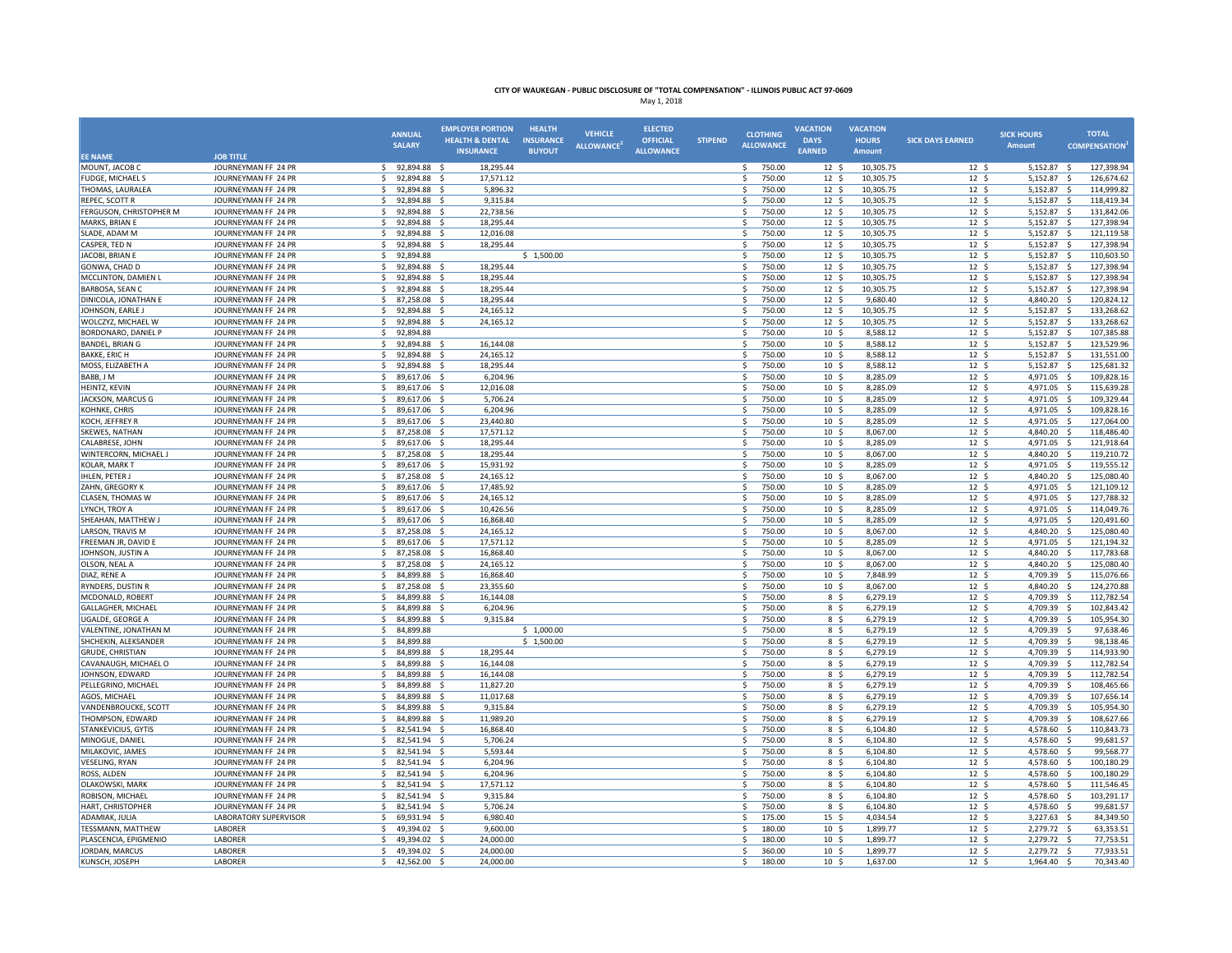|                                           |                                            | <b>ANNUAL</b>                            | <b>EMPLOYER PORTION</b>                        | <b>HEALTH</b>                     | <b>VEHICLE</b>   | <b>ELECTED</b>                      |                | <b>CLOTHING</b>                | <b>VACATION</b>                     | <b>VACATION</b>        |                                     | <b>SICK HOURS</b>       | <b>TOTAL</b>                                   |
|-------------------------------------------|--------------------------------------------|------------------------------------------|------------------------------------------------|-----------------------------------|------------------|-------------------------------------|----------------|--------------------------------|-------------------------------------|------------------------|-------------------------------------|-------------------------|------------------------------------------------|
|                                           |                                            | <b>SALARY</b>                            | <b>HEALTH &amp; DENTAL</b><br><b>INSURANCE</b> | <b>INSURANCE</b><br><b>BUYOUT</b> | <b>ALLOWANCE</b> | <b>OFFICIAL</b><br><b>ALLOWANCE</b> | <b>STIPEND</b> | <b>ALLOWANCE</b>               | <b>DAYS</b><br><b>EARNED</b>        | <b>HOURS</b><br>Amount | <b>SICK DAYS EARNED</b>             | <b>Amount</b>           | <b>COMPENSATION</b>                            |
| <b>EE NAME</b>                            | <b>JOB TITLE</b>                           |                                          |                                                |                                   |                  |                                     |                |                                |                                     |                        |                                     |                         |                                                |
| MOUNT, JACOB C                            | JOURNEYMAN FF 24 PR                        | 92,894.88 \$<br>$\mathsf{S}$             | 18,295.44                                      |                                   |                  |                                     |                | \$<br>750.00                   | 12 <sup>5</sup>                     | 10,305.75              | 12 <sup>5</sup>                     | 5,152.87 \$             | 127,398.94                                     |
| <b>FUDGE, MICHAEL S</b>                   | JOURNEYMAN FF 24 PR                        | \$<br>92,894.88 \$<br>Ś.<br>92.894.88 \$ | 17,571.12                                      |                                   |                  |                                     |                | 750.00<br>S.<br>Ś              | 12 <sup>5</sup><br>12S              | 10,305.75              | 12 <sup>5</sup><br>12 <sup>5</sup>  | 5,152.87 \$             | 126,674.62<br>114.999.82                       |
| THOMAS, LAURALEA                          | JOURNEYMAN FF 24 PR                        | \$.                                      | 5,896.32                                       |                                   |                  |                                     |                | 750.00<br>750.00               |                                     | 10,305.75              |                                     | 5,152.87 \$             | $\zeta$                                        |
| REPEC, SCOTT R<br>FERGUSON, CHRISTOPHER M | JOURNEYMAN FF 24 PR<br>JOURNEYMAN FF 24 PR | 92,894.88<br>Ŝ.<br>92,894.88             | 9,315.84<br>22,738.56<br>- S                   |                                   |                  |                                     |                | \$<br>\$<br>750.00             | $12 \frac{2}{7}$<br>12 <sup>5</sup> | 10,305.75<br>10,305.75 | $12 \text{ }$<br>12 <sup>5</sup>    | 5,152.87<br>5,152.87    | 118,419.34<br>S.<br>131,842.06                 |
| MARKS, BRIAN E                            | JOURNEYMAN FF 24 PR                        | 92,894.88<br>Ŝ.                          | 18,295.44<br>- Ś                               |                                   |                  |                                     |                | 750.00<br>-\$                  | 12 <sup>5</sup>                     | 10,305.75              | 12 <sup>5</sup>                     | 5,152.87 \$             | 127,398.94                                     |
| SLADE, ADAM M                             | JOURNEYMAN FF 24 PR                        | 92,894.88<br>-S                          | 12,016.08                                      |                                   |                  |                                     |                | -S<br>750.00                   | 12 <sup>5</sup>                     | 10,305.75              | 12 <sup>5</sup>                     | 5,152.87                | S.<br>121,119.58                               |
| CASPER, TED N                             | JOURNEYMAN FF 24 PR                        | $\mathsf{s}$<br>92,894.88                | 18,295.44<br>−<                                |                                   |                  |                                     |                | $\mathsf{s}$<br>750.00         | 12 <sup>5</sup>                     | 10,305.75              | $12 \quad$                          | 5,152.87                | 127,398.94<br>-\$                              |
| JACOBI, BRIAN E                           | JOURNEYMAN FF 24 PR                        | 92,894.88<br>Ŝ.                          |                                                | \$1,500.00                        |                  |                                     |                | <sub>S</sub><br>750.00         | 12 <sup>5</sup>                     | 10,305.75              | $12 \quad$                          | 5,152.87                | S.<br>110,603.50                               |
| GONWA, CHAD D                             | JOURNEYMAN FF 24 PR                        | Ŝ.<br>92,894.88                          | $\dot{\mathbf{s}}$<br>18,295.44                |                                   |                  |                                     |                | 750.00<br>-Ś                   | 12 <sup>5</sup>                     | 10,305.75              | 12 <sup>5</sup>                     | 5,152.87                | $\mathsf{S}$<br>127,398.94                     |
| MCCLINTON, DAMIEN L                       | JOURNEYMAN FF 24 PR                        | 92,894.88<br>Ŝ                           | 18,295.44<br>∫ <                               |                                   |                  |                                     |                | 750.00<br>-Ś                   | 12 <sup>5</sup>                     | 10,305.75              | 12 <sup>5</sup>                     | 5,152.87 \$             | 127,398.94                                     |
| BARBOSA, SEAN C                           | JOURNEYMAN FF 24 PR                        | 92,894.88<br>Ŝ                           | 18,295.44                                      |                                   |                  |                                     |                | 750.00<br>-Ś                   | $12 \frac{2}{7}$                    | 10,305.75              | $12 \text{ }$                       | 5,152.87                | -\$<br>127,398.94                              |
| DINICOLA, JONATHAN E                      | JOURNEYMAN FF 24 PR                        | $\mathsf{s}$<br>87,258.08                | 18,295.44<br>- \$                              |                                   |                  |                                     |                | \$<br>750.00                   | 12 <sup>5</sup>                     | 9,680.40               | 12 <sup>5</sup>                     | 4,840.20                | $\mathsf{S}$<br>120,824.12                     |
| JOHNSON, EARLE J                          | JOURNEYMAN FF 24 PR                        | s.<br>92,894.88                          | 24,165.12                                      |                                   |                  |                                     |                | 750.00<br>-Ś                   | 12 <sup>5</sup>                     | 10,305.75              | 12 <sup>5</sup>                     | 5,152.87 \$             | 133,268.62                                     |
| WOLCZYZ, MICHAEL W                        | JOURNEYMAN FF 24 PR                        | $\mathsf{s}$<br>92.894.88 S              | 24,165.12                                      |                                   |                  |                                     |                | \$<br>750.00                   | 12S                                 | 10.305.75              | 12 <sup>5</sup>                     | 5.152.87 \$             | 133.268.62                                     |
| BORDONARO, DANIEL P                       | JOURNEYMAN FF 24 PR                        | 92,894.88<br>Ŝ.                          |                                                |                                   |                  |                                     |                | \$<br>750.00                   | $10 \frac{2}{3}$                    | 8,588.12               | $12 \frac{2}{7}$                    | 5,152.87 \$             | 107,385.88                                     |
| BANDEL, BRIAN G                           | JOURNEYMAN FF 24 PR                        | 92,894.88<br>Ŝ.<br>$\mathsf{s}$          | 16,144.08                                      |                                   |                  |                                     |                | -\$<br>750.00<br><sup>5</sup>  | 10 <sup>5</sup>                     | 8,588.12               | 12 <sup>5</sup>                     | 5,152.87                | - \$<br>123,529.96                             |
| <b>BAKKE, ERIC H</b>                      | JOURNEYMAN FF 24 PR                        | 92.894.88<br><sup>5</sup>                | 24,165.12<br>$\mathcal{S}$                     |                                   |                  |                                     |                | 750.00<br>S.                   | 10 <sup>5</sup>                     | 8,588.12               | 12 <sup>5</sup>                     | 5,152.87                | s.<br>131,551.00<br>-Ś                         |
| MOSS, ELIZABETH A<br>BABB, J M            | JOURNEYMAN FF 24 PR<br>JOURNEYMAN FF 24 PR | 92,894.88<br>89,617.06<br>Ŝ              | 18,295.44<br>6,204.96                          |                                   |                  |                                     |                | 750.00<br>Ś<br>750.00          | 10 <sup>5</sup><br>10 <sup>5</sup>  | 8,588.12<br>8,285.09   | $12 \frac{2}{7}$<br>12 <sup>5</sup> | 5,152.87<br>4,971.05    | 125,681.32<br>109,828.16<br>$\mathbf{\hat{S}}$ |
| HEINTZ, KEVIN                             | JOURNEYMAN FF 24 PR                        | \$<br>89,617.06                          | 12,016.08<br>- S                               |                                   |                  |                                     |                | $\ddot{\mathsf{s}}$<br>750.00  | 10 <sup>5</sup>                     | 8,285.09               | $12 \quad$                          | 4,971.05                | 115,639.28<br>- \$                             |
| JACKSON, MARCUS G                         | JOURNEYMAN FF 24 PR                        | <sup>5</sup><br>89,617.06                | 5,706.24<br>- S                                |                                   |                  |                                     |                | 750.00<br>-Ś                   | 10 <sup>5</sup>                     | 8,285.09               | 12 <sup>5</sup>                     | 4,971.05 \$             | 109,329.44                                     |
| KOHNKE, CHRIS                             | JOURNEYMAN FF 24 PR                        | $\zeta$<br>89,617.06 \$                  | 6,204.96                                       |                                   |                  |                                     |                | <sup>5</sup><br>750.00         | 10 <sup>5</sup>                     | 8,285.09               | 12 <sup>5</sup>                     | 4,971.05 \$             | 109,828.16                                     |
| KOCH, JEFFREY R                           | JOURNEYMAN FF 24 PR                        | Ŝ.<br>89,617.06                          | 23,440.80                                      |                                   |                  |                                     |                | 750.00<br>-Ś                   | 10 <sup>5</sup>                     | 8,285.09               | 12 <sup>5</sup>                     | 4,971.05                | -\$<br>127,064.00                              |
| <b>SKEWES, NATHAN</b>                     | JOURNEYMAN FF 24 PR                        | \$<br>87,258.08                          | - \$<br>17,571.12                              |                                   |                  |                                     |                | \$<br>750.00                   | 10 <sup>5</sup>                     | 8,067.00               | 12 <sup>5</sup>                     | 4,840.20                | S.<br>118,486.40                               |
| CALABRESE, JOHN                           | JOURNEYMAN FF 24 PR                        | 89,617.06 \$<br>\$                       | 18,295.44                                      |                                   |                  |                                     |                | 750.00<br>-S                   | 10 <sup>5</sup>                     | 8,285.09               | 12 <sup>5</sup>                     | 4,971.05 \$             | 121,918.64                                     |
| WINTERCORN, MICHAEL J                     | JOURNEYMAN FF 24 PR                        | 87,258.08<br>S.                          | 18,295.44<br>- S                               |                                   |                  |                                     |                | $\mathsf{s}$<br>750.00         | $10 \frac{2}{3}$                    | 8,067.00               | 12 <sup>5</sup>                     | 4,840.20                | -\$<br>119,210.72                              |
| KOLAR, MARK T                             | JOURNEYMAN FF 24 PR                        | 89,617.06<br>$\mathcal{S}$               | 15,931.92<br>- \$                              |                                   |                  |                                     |                | 750.00<br>-Ś                   | 10 <sup>5</sup>                     | 8,285.09               | 12 <sup>5</sup>                     | 4,971.05                | S.<br>119,555.12                               |
| <b>IHLEN, PETER J</b>                     | JOURNEYMAN FF 24 PR                        | Ŝ.<br>87,258.08                          | 24,165.12                                      |                                   |                  |                                     |                | 750.00<br>S.                   | 10 <sup>5</sup>                     | 8,067.00               | 12 <sup>5</sup>                     | 4,840.20                | 125,080.40<br>-Ś                               |
| ZAHN, GREGORY K                           | JOURNEYMAN FF 24 PR                        | 89.617.06<br><sup>\$</sup>               | 17.485.92<br>- S                               |                                   |                  |                                     |                | $\mathsf{s}$<br>750.00         | 10 <sup>5</sup>                     | 8.285.09               | 12 <sup>5</sup>                     | 4.971.05                | -Ś<br>121.109.12                               |
| <b>CLASEN, THOMAS W</b>                   | JOURNEYMAN FF 24 PR                        | 89,617.06 \$<br>\$                       | 24,165.12                                      |                                   |                  |                                     |                | 750.00<br>-\$                  | $10 \frac{2}{3}$                    | 8,285.09               | $12 \frac{2}{7}$                    | 4,971.05 \$             | 127,788.32                                     |
| LYNCH, TROY A                             | JOURNEYMAN FF 24 PR                        | \$<br>89,617.06 \$                       | 10,426.56                                      |                                   |                  |                                     |                | 750.00<br>\$                   | 10 <sup>5</sup>                     | 8,285.09               | 12 <sup>5</sup>                     | 4,971.05 \$             | 114,049.76                                     |
| SHEAHAN, MATTHEW J                        | JOURNEYMAN FF 24 PR                        | $\mathsf{s}$<br>89,617.06                | 16,868.40<br>$\mathcal{S}$                     |                                   |                  |                                     |                | <sup>5</sup><br>750.00         | 10 <sup>5</sup>                     | 8,285.09               | 12 <sup>5</sup>                     | 4,971.05                | 120,491.60<br>s.                               |
| LARSON, TRAVIS M<br>FREEMAN JR, DAVID E   | JOURNEYMAN FF 24 PR<br>JOURNEYMAN FF 24 PR | Ŝ.<br>87,258.08<br>Ŝ.<br>89,617.06       | 24,165.12<br>- \$<br>17,571.12                 |                                   |                  |                                     |                | 750.00<br>-Ś<br>\$<br>750.00   | 10 <sup>5</sup><br>10 <sup>5</sup>  | 8,067.00<br>8,285.09   | 12 <sup>5</sup><br>12 <sup>5</sup>  | 4,840.20<br>4,971.05 \$ | -\$<br>125,080.40<br>121,194.32                |
| JOHNSON, JUSTIN A                         | JOURNEYMAN FF 24 PR                        | 87,258.08<br>Ŝ.                          | 16,868.40<br>- S                               |                                   |                  |                                     |                | 750.00<br>\$                   | 10 <sup>5</sup>                     | 8,067.00               | $12 \text{ }$                       | 4,840.20                | 117,783.68<br>S.                               |
| OLSON, NEAL A                             | JOURNEYMAN FF 24 PR                        | $\mathsf{S}$<br>87,258.08                | 24,165.12<br>$\mathcal{S}$                     |                                   |                  |                                     |                | 750.00<br>-Ś                   | 10 <sup>5</sup>                     | 8,067.00               | 12 <sup>5</sup>                     | 4,840.20                | 125,080.40<br>$\mathbf{\hat{S}}$               |
| DIAZ, RENE A                              | JOURNEYMAN FF 24 PR                        | $\ddot{\phantom{1}}$<br>84,899.88        | 16,868.40<br>−<                                |                                   |                  |                                     |                | 750.00<br>$\mathsf{s}$         | 10 <sup>5</sup>                     | 7,848.99               | 12S                                 | 4,709.39                | 115,076.66<br>-Ś                               |
| RYNDERS, DUSTIN R                         | JOURNEYMAN FF 24 PR                        | 87,258.08                                | 23,355.60                                      |                                   |                  |                                     |                | -Ś<br>750.00                   | 10 <sup>5</sup>                     | 8,067.00               | 12 <sup>5</sup>                     | 4,840.20                | -Ś<br>124,270.88                               |
| MCDONALD, ROBERT                          | JOURNEYMAN FF 24 PR                        | Ŝ.<br>84,899.88                          | 16,144.08<br>$\mathcal{S}$                     |                                   |                  |                                     |                | <sub>S</sub><br>750.00         | 8 <sup>5</sup>                      | 6,279.19               | 12 <sup>5</sup>                     | 4,709.39                | s.<br>112,782.54                               |
| <b>GALLAGHER, MICHAEL</b>                 | JOURNEYMAN FF 24 PR                        | Ŝ<br>84,899.88 \$                        | 6,204.96                                       |                                   |                  |                                     |                | 750.00<br>-S                   | 8\$                                 | 6,279.19               | 12 <sup>5</sup>                     | 4,709.39                | 102,843.42<br>S.                               |
| UGALDE, GEORGE A                          | JOURNEYMAN FF 24 PR                        | 84,899.88 \$<br><sup>5</sup>             | 9.315.84                                       |                                   |                  |                                     |                | 750.00<br>\$                   | $8\frac{6}{7}$                      | 6,279.19               | $12 \frac{1}{2}$                    | 4,709.39                | 105,954.30<br>- S                              |
| VALENTINE, JONATHAN M                     | JOURNEYMAN FF 24 PR                        | s.<br>84,899.88                          |                                                | \$1,000.00                        |                  |                                     |                | <sub>S</sub><br>750.00         | 8\$                                 | 6,279.19               | 12 <sup>5</sup>                     | 4,709.39                | S.<br>97,638.46                                |
| SHCHEKIN, ALEKSANDER                      | JOURNEYMAN FF 24 PR                        | Ŝ.<br>84,899.88                          |                                                | \$1,500.00                        |                  |                                     |                | 750.00<br>\$                   | 8 \$                                | 6,279.19               | 12 <sup>5</sup>                     | 4,709.39                | 98,138.46<br>-\$                               |
| <b>GRUDE, CHRISTIAN</b>                   | JOURNEYMAN FF 24 PR                        | 84.899.88<br>S.                          | 18.295.44                                      |                                   |                  |                                     |                | \$<br>750.00                   | 8 \$                                | 6.279.19               | 12 <sup>5</sup>                     | 4,709.39                | $\mathsf{S}$<br>114.933.90                     |
| CAVANAUGH, MICHAEL O                      | JOURNEYMAN FF 24 PR                        | 84,899.88<br>\$                          | 16,144.08                                      |                                   |                  |                                     |                | 750.00<br>-\$                  | 8\$                                 | 6,279.19               | $12 \frac{1}{2}$                    | 4,709.39                | 112,782.54<br>-\$                              |
| JOHNSON, EDWARD                           | JOURNEYMAN FF 24 PR                        | $\mathsf{s}$<br>84,899.88                | 16,144.08                                      |                                   |                  |                                     |                | -Ś<br>750.00                   | 8 \$                                | 6,279.19               | 12 <sup>5</sup>                     | 4,709.39                | 112,782.54<br>$\dot{\mathbf{s}}$               |
| PELLEGRINO, MICHAEL                       | JOURNEYMAN FF 24 PR                        | 84,899.88                                | 11,827.20                                      |                                   |                  |                                     |                | <sub>S</sub><br>750.00         | 8 \$                                | 6,279.19               | 12 <sup>5</sup>                     | 4,709.39                | 108,465.66<br>$\mathsf{s}$                     |
| AGOS, MICHAEL                             | JOURNEYMAN FF 24 PR                        | 84,899.88                                | 11,017.68<br>-S                                |                                   |                  |                                     |                | $\mathsf{s}$<br>750.00         | 8 \$                                | 6,279.19               | 12 <sup>5</sup>                     | 4,709.39                | $\dot{\mathbf{s}}$<br>107,656.14               |
| VANDENBROUCKE, SCOTT<br>THOMPSON, EDWARD  | JOURNEYMAN FF 24 PR<br>JOURNEYMAN FF 24 PR | 84,899.88<br>Ŝ<br>84,899.88 \$<br>\$     | 9,315.84<br>- S<br>11,989.20                   |                                   |                  |                                     |                | 750.00<br>-\$<br>750.00<br>-\$ | 8\$<br>8\$                          | 6,279.19<br>6,279.19   | $12 \text{ }$<br>$12 \frac{1}{2}$   | 4,709.39<br>4,709.39    | $\mathsf{S}$<br>105,954.30<br>108,627.66<br>S. |
| STANKEVICIUS, GYTIS                       | JOURNEYMAN FF 24 PR                        | 82,541.94 \$<br>\$                       | 16,868.40                                      |                                   |                  |                                     |                | 750.00<br>-Ś                   | 8 \$                                | 6,104.80               | 12 <sup>5</sup>                     | 4,578.60 \$             | 110,843.73                                     |
| MINOGUE, DANIEL                           | JOURNEYMAN FF 24 PR                        | $\mathcal{S}$<br>82,541.94               | 5,706.24<br>- S                                |                                   |                  |                                     |                | 750.00<br>Ś                    | $8\sqrt{5}$                         | 6,104.80               | 12 <sup>5</sup>                     | 4,578.60                | S.<br>99,681.57                                |
| MILAKOVIC, JAMES                          | JOURNEYMAN FF 24 PR                        | 82,541.94 \$<br>Ŝ                        | 5,593.44                                       |                                   |                  |                                     |                | \$<br>750.00                   | 8\$                                 | 6,104.80               | $12 \text{ }$                       | 4,578.60                | 99,568.77<br>- Ś                               |
| <b>VESELING, RYAN</b>                     | JOURNEYMAN FF 24 PR                        | 82,541.94<br>\$                          | 6,204.96<br>- S                                |                                   |                  |                                     |                | 750.00<br>\$                   | 8 <sup>5</sup>                      | 6,104.80               | 12 <sup>5</sup>                     | 4,578.60                | 100,180.29<br>S.                               |
| ROSS, ALDEN                               | JOURNEYMAN FF 24 PR                        | 82,541.94 \$<br>-S                       | 6,204.96                                       |                                   |                  |                                     |                | 750.00<br>\$                   | 8 \$                                | 6,104.80               | 12 <sup>5</sup>                     | 4,578.60                | - \$<br>100,180.29                             |
| <b>OLAKOWSKI, MARK</b>                    | JOURNEYMAN FF 24 PR                        | Ŝ.<br>82.541.94 \$                       | 17.571.12                                      |                                   |                  |                                     |                | $\mathsf{s}$<br>750.00         | 8 \$                                | 6.104.80               | 12 <sup>5</sup>                     | 4.578.60                | -Ś<br>111.546.45                               |
| ROBISON, MICHAEL                          | JOURNEYMAN FF 24 PR                        | 82,541.94                                | 9,315.84                                       |                                   |                  |                                     |                | 750.00<br>Ś                    | 8\$                                 | 6,104.80               | $12 \text{ }$                       | 4,578.60                | 103,291.17<br>-Ś                               |
| HART, CHRISTOPHER                         | JOURNEYMAN FF 24 PR                        | 82,541.94<br>Ŝ                           | 5,706.24                                       |                                   |                  |                                     |                | 750.00<br>-Ś                   | 8 \$                                | 6,104.80               | 12 <sup>5</sup>                     | 4,578.60                | -\$<br>99,681.57                               |
| ADAMIAK, JULIA                            | <b>LABORATORY SUPERVISOR</b>               | 69.931.94<br>$\mathcal{S}$               | 6.980.40<br>$\sim$                             |                                   |                  |                                     |                | <sub>S</sub><br>175.00         | 15 <sup>5</sup>                     | 4.034.54               | 12 <sup>5</sup>                     | 3.227.63                | s.<br>84.349.50                                |
| TESSMANN, MATTHEW                         | LABORER                                    | 49,394.02 \$<br>-S                       | 9,600.00                                       |                                   |                  |                                     |                | 180.00<br>-Ś                   | $10 \frac{2}{3}$                    | 1,899.77               | $12 \frac{1}{2}$                    | 2,279.72                | 63,353.51<br>−\$                               |
| PLASCENCIA, EPIGMENIO                     | LABORER                                    | $\mathcal{S}$<br>49,394.02 \$            | 24,000.00                                      |                                   |                  |                                     |                | Ś<br>180.00                    | 10 <sup>5</sup>                     | 1,899.77               | 12 <sup>5</sup>                     | 2,279.72 \$             | 77,753.51                                      |
| JORDAN, MARCUS                            | LABORER                                    | \$<br>49,394.02                          | - \$<br>24,000.00                              |                                   |                  |                                     |                | <sub>S</sub><br>360.00         | 10 <sup>5</sup>                     | 1,899.77               | 12 <sup>5</sup>                     | 2,279.72 \$             | 77,933.51                                      |
| KUNSCH, JOSEPH                            | LABORER                                    | 42,562.00 \$                             | 24,000.00                                      |                                   |                  |                                     |                | 180.00<br>Ŝ                    | 10 <sup>5</sup>                     | 1,637.00               | 12 <sup>5</sup>                     | 1,964.40                | 70,343.40<br>-\$                               |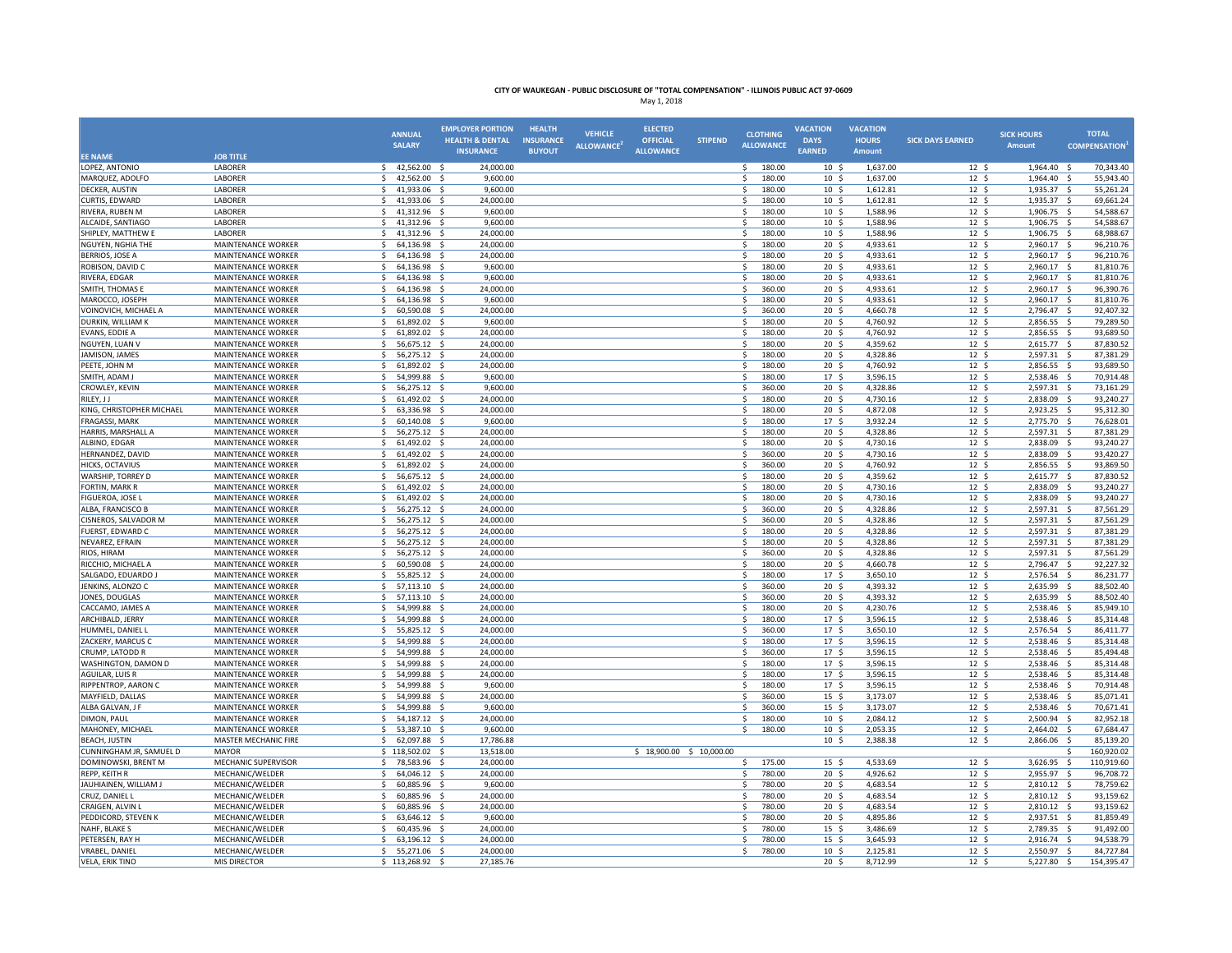|                                         |                                                        | <b>ANNUAL</b>                                    | <b>EMPLOYER PORTION</b><br><b>HEALTH &amp; DENTAL</b> | <b>HEALTH</b><br><b>INSURANCE</b> | <b>VEHICLE</b>                | <b>ELECTED</b><br><b>OFFICIAL</b> | <b>STIPEND</b> | <b>CLOTHING</b>                        | <b>VACATION</b><br><b>DAYS</b>     | <b>VACATION</b><br><b>HOURS</b> | <b>SICK DAYS EARNED</b>             | <b>SICK HOURS</b>    | <b>TOTAL</b>                                  |
|-----------------------------------------|--------------------------------------------------------|--------------------------------------------------|-------------------------------------------------------|-----------------------------------|-------------------------------|-----------------------------------|----------------|----------------------------------------|------------------------------------|---------------------------------|-------------------------------------|----------------------|-----------------------------------------------|
| <b>EE NAME</b>                          | <b>JOB TITLE</b>                                       | <b>SALARY</b>                                    | <b>INSURANCE</b>                                      | <b>BUYOUT</b>                     | <b>ALLOWANCE</b> <sup>4</sup> | <b>ALLOWANCE</b>                  |                | <b>ALLOWANCE</b>                       | <b>EARNED</b>                      | Amount                          |                                     | <b>Amount</b>        | <b>COMPENSATION</b>                           |
| LOPEZ, ANTONIO                          | LABORER                                                | 42,562.00<br>\$                                  | - \$<br>24,000.00                                     |                                   |                               |                                   |                | \$<br>180.00                           | 10 <sup>5</sup>                    | 1,637.00                        | 12 <sup>5</sup>                     | 1,964.40             | 70,343.40<br>S.                               |
| MARQUEZ, ADOLFO                         | LABORER                                                | 42,562.00<br>\$                                  | 9,600.00<br>- S                                       |                                   |                               |                                   |                | 180.00<br>\$                           | $10 \frac{2}{3}$                   | 1,637.00                        | $12 \; \text{S}$                    | 1,964.40             | 55,943.40<br>- \$                             |
| <b>DECKER, AUSTIN</b>                   | LABORER                                                | 41,933.06 \$<br>$\mathsf{S}$                     | 9,600.00                                              |                                   |                               |                                   |                | 180.00<br>$\mathsf{S}$                 | 10 <sup>5</sup>                    | 1,612.81                        | 12 <sup>5</sup>                     | 1,935.37 \$          | 55,261.24                                     |
| CURTIS, EDWARD                          | LABORER                                                | $\ddot{\phantom{1}}$<br>41,933.06                | 24,000.00<br>- S                                      |                                   |                               |                                   |                | $\mathsf{s}$<br>180.00                 | 10 <sup>5</sup>                    | 1,612.81                        | 12 <sup>5</sup>                     | 1,935.37             | - Ś<br>69,661.24                              |
| RIVERA, RUBEN M                         | LABORER                                                | Ŝ.<br>41,312.96                                  | 9,600.00                                              |                                   |                               |                                   |                | \$<br>180.00                           | $10 \frac{2}{3}$                   | 1,588.96                        | $12 \frac{2}{7}$                    | 1,906.75             | -\$<br>54,588.67                              |
| ALCAIDE, SANTIAGO                       | LABORER                                                | 41,312.96<br>\$                                  | 9,600.00<br>- \$                                      |                                   |                               |                                   |                | 180.00<br>\$                           | 10 <sup>5</sup>                    | 1,588.96                        | 12 <sup>5</sup>                     | 1,906.75             | 54,588.67<br>- \$                             |
| SHIPLEY, MATTHEW E                      | LABORER                                                | 41,312.96<br>Ŝ.                                  | 24,000.00<br>- S                                      |                                   |                               |                                   |                | 180.00<br>S.                           | 10 <sup>5</sup>                    | 1,588.96                        | 12 <sup>5</sup>                     | 1,906.75             | 68,988.67<br>- Ś                              |
| <b>NGUYEN, NGHIA THE</b>                | MAINTENANCE WORKER                                     | 64,136.98<br><sup>5</sup>                        | 24,000.00<br>- S                                      |                                   |                               |                                   |                | 180.00<br>-Ś                           | 20 <sup>5</sup>                    | 4,933.61                        | 12 <sup>5</sup>                     | 2,960.17             | 96,210.76<br>-\$                              |
| BERRIOS, JOSE A                         | MAINTENANCE WORKER                                     | $\ddot{\phantom{1}}$<br>64,136.98                | 24,000.00<br>- \$                                     |                                   |                               |                                   |                | 180.00<br>-\$                          | 20 <sub>5</sub>                    | 4,933.61                        | $12 \frac{2}{7}$                    | 2,960.17             | 96,210.76<br>-\$                              |
| ROBISON, DAVID C                        | MAINTENANCE WORKER                                     | 64,136.98<br>Ŝ                                   | 9,600.00<br>- S                                       |                                   |                               |                                   |                | 180.00<br>-Ś                           | 20 <sub>5</sub>                    | 4,933.61                        | 12 <sup>5</sup>                     | 2,960.17             | 81,810.76<br>- Ś                              |
| RIVERA, EDGAR                           | <b>MAINTENANCE WORKER</b>                              | 64,136.98<br>Ŝ.                                  | 9.600.00<br>$\mathbf{S}$                              |                                   |                               |                                   |                | 180.00<br>-Ś                           | 20 <sub>5</sub>                    | 4,933.61                        | 12 <sup>5</sup>                     | 2.960.17             | 81.810.76<br>$\mathbf{\hat{S}}$               |
| <b>SMITH, THOMAS E</b>                  | <b>MAINTENANCE WORKER</b>                              | \$<br>64,136.98 \$                               | 24,000.00                                             |                                   |                               |                                   |                | 360.00<br>-S                           | 20 <sub>5</sub>                    | 4,933.61                        | 12 <sup>5</sup>                     | 2,960.17 \$          | 96,390.76                                     |
| MAROCCO, JOSEPH                         | MAINTENANCE WORKER                                     | Ŝ.<br>64,136.98 \$                               | 9,600.00                                              |                                   |                               |                                   |                | \$<br>180.00                           | 20 <sub>5</sub>                    | 4,933.61                        | 12 <sup>5</sup>                     | 2,960.17 \$          | 81,810.76                                     |
| VOINOVICH, MICHAEL A                    | MAINTENANCE WORKER                                     | Ŝ.<br>60,590.08                                  | 24,000.00<br>- S                                      |                                   |                               |                                   |                | <sub>S</sub><br>360.00                 | $20 \frac{2}{3}$                   | 4,660.78                        | $12 \quad$                          | 2,796.47             | 92,407.32<br>- \$                             |
| DURKIN, WILLIAM K<br>EVANS, EDDIE A     | MAINTENANCE WORKER<br><b>MAINTENANCE WORKER</b>        | Ŝ.<br>61,892.02<br>61,892.02                     | 9,600.00<br>24,000,00<br>−\$                          |                                   |                               |                                   |                | 180.00<br>\$<br>\$<br>180.00           | 20 <sup>5</sup><br>20 <sub>5</sub> | 4,760.92<br>4.760.92            | 12 <sup>5</sup><br>12 <sup>5</sup>  | 2,856.55<br>2,856.55 | 79,289.50<br>$\mathbf{\hat{S}}$<br>93.689.50  |
|                                         |                                                        | \$<br>56,675.12 \$                               | 24,000.00                                             |                                   |                               |                                   |                | 180.00                                 | $20 \frac{2}{3}$                   | 4,359.62                        |                                     |                      | -\$<br>87,830.52                              |
| NGUYEN, LUAN V<br>JAMISON, JAMES        | <b>MAINTENANCE WORKER</b><br><b>MAINTENANCE WORKER</b> | \$<br>Ŝ.<br>56,275.12                            | - \$<br>24,000.00                                     |                                   |                               |                                   |                | -\$<br>-Ś<br>180.00                    | 20 <sup>5</sup>                    | 4,328.86                        | $12 \frac{1}{2}$<br>12 <sup>5</sup> | 2,615.77<br>2,597.31 | - \$<br>87,381.29<br>-\$                      |
| PEETE, JOHN M                           | MAINTENANCE WORKER                                     | 61,892.02<br>$\mathsf{s}$                        | 24,000.00<br>- S                                      |                                   |                               |                                   |                | <sub>S</sub><br>180.00                 | 20 <sup>5</sup>                    | 4,760.92                        | 12 <sup>5</sup>                     | 2,856.55             | 93,689.50<br>S.                               |
| SMITH, ADAM J                           | MAINTENANCE WORKER                                     | 54,999.88                                        | 9,600.00<br>- S                                       |                                   |                               |                                   |                | 180.00<br>-Ś                           | 17 <sup>5</sup>                    | 3,596.15                        | 12 <sup>5</sup>                     | 2,538.46             | 70,914.48<br>−\$                              |
| CROWLEY, KEVIN                          | MAINTENANCE WORKER                                     | 56,275.12<br>\$                                  | 9,600.00<br>- S                                       |                                   |                               |                                   |                | -\$<br>360.00                          | $20 \frac{2}{3}$                   | 4,328.86                        | $12 \quad$                          | 2,597.31             | 73,161.29<br>-\$                              |
| RILEY, JJ                               | MAINTENANCE WORKER                                     | 61,492.02<br>Ŝ.                                  | 24,000.00<br>- S                                      |                                   |                               |                                   |                | \$<br>180.00                           | 20 <sub>5</sub>                    | 4,730.16                        | 12 <sup>5</sup>                     | 2,838.09             | 93,240.27<br>- Ś                              |
| KING, CHRISTOPHER MICHAEL               | MAINTENANCE WORKER                                     | $\mathsf{s}$<br>63,336.98 \$                     | 24,000.00                                             |                                   |                               |                                   |                | \$<br>180.00                           | 20 <sup>5</sup>                    | 4,872.08                        | 12 <sup>5</sup>                     | 2,923.25 \$          | 95,312.30                                     |
| <b>FRAGASSI, MARK</b>                   | MAINTENANCE WORKER                                     | Ŝ.<br>60,140.08                                  | 9,600.00<br>- \$                                      |                                   |                               |                                   |                | 180.00<br>-Ś                           | 17 <sup>5</sup>                    | 3,932.24                        | 12 <sup>5</sup>                     | 2,775.70             | 76,628.01<br>-\$                              |
| HARRIS, MARSHALL A                      | MAINTENANCE WORKER                                     | \$.<br>56,275.12 \$                              | 24,000.00                                             |                                   |                               |                                   |                | \$<br>180.00                           | $20 \frac{2}{3}$                   | 4,328.86                        | $12 \frac{2}{7}$                    | 2,597.31             | 87,381.29<br>-\$                              |
| ALBINO, EDGAR                           | MAINTENANCE WORKER                                     | $\mathsf{S}$<br>61,492.02                        | 24,000.00<br>- S                                      |                                   |                               |                                   |                | 180.00<br>S.                           | 20 <sub>5</sub>                    | 4,730.16                        | $12 \frac{2}{7}$                    | 2,838.09             | 93,240.27<br>-\$                              |
| HERNANDEZ, DAVID                        | MAINTENANCE WORKER                                     | 61,492.02 \$<br>Ŝ.                               | 24,000.00                                             |                                   |                               |                                   |                | 360.00<br>\$                           | 20 <sub>5</sub>                    | 4,730.16                        | 12 <sup>5</sup>                     | 2,838.09             | -\$<br>93,420.27                              |
| HICKS, OCTAVIUS                         | MAINTENANCE WORKER                                     | $\mathsf{s}$<br>61,892.02                        | 24,000,00<br>- S                                      |                                   |                               |                                   |                | $\mathsf{s}$<br>360.00                 | 20 <sub>5</sub>                    | 4,760.92                        | 12 <sup>5</sup>                     | 2,856.55             | -\$<br>93,869.50                              |
| WARSHIP, TORREY D                       | MAINTENANCE WORKER                                     | 56,675.12<br>Ŝ                                   | 24,000.00                                             |                                   |                               |                                   |                | 180.00<br>\$                           | $20 \frac{2}{3}$                   | 4,359.62                        | $12 \frac{2}{7}$                    | 2,615.77             | 87,830.52<br>-Ś                               |
| FORTIN, MARK R                          | MAINTENANCE WORKER                                     | 61,492.02<br>Ŝ                                   | 24,000.00<br>- S                                      |                                   |                               |                                   |                | -Ś<br>180.00                           | 20 <sup>5</sup>                    | 4,730.16                        | 12 <sup>5</sup>                     | 2,838.09             | 93,240.27<br>$\dot{\mathbf{s}}$               |
| FIGUEROA, JOSE L                        | MAINTENANCE WORKER                                     | \$<br>61,492.02                                  | 24,000.00<br>- S                                      |                                   |                               |                                   |                | <sub>S</sub><br>180.00                 | 20 <sub>5</sub>                    | 4,730.16                        | $12 \quad$                          | 2,838.09             | 93,240.27<br>-\$                              |
| ALBA, FRANCISCO B                       | MAINTENANCE WORKER                                     | 56,275.12 \$<br>S.                               | 24,000.00                                             |                                   |                               |                                   |                | 360.00<br>S.                           | 20 <sub>5</sub>                    | 4,328.86                        | 12 <sup>5</sup>                     | 2,597.31             | 87,561.29<br>- S                              |
| CISNEROS, SALVADOR M                    | MAINTENANCE WORKER                                     | 56,275.12<br>$\ddot{\phantom{1}}$                | 24,000.00<br>- \$                                     |                                   |                               |                                   |                | <sub>S</sub><br>360.00                 | $20 \frac{2}{3}$                   | 4,328.86                        | $12 \div$                           | 2,597.31 \$          | 87,561.29                                     |
| FUERST, EDWARD C                        | MAINTENANCE WORKER                                     | \$.<br>56,275.12 \$                              | 24,000.00                                             |                                   |                               |                                   |                | 180.00<br>-\$                          | $20 \frac{2}{3}$                   | 4,328.86                        | $12 \quad$                          | 2,597.31             | 87,381.29<br>-\$                              |
| NEVAREZ, EFRAIN                         | MAINTENANCE WORKER                                     | Ŝ.<br>56,275.12 \$                               | 24,000.00                                             |                                   |                               |                                   |                | \$<br>180.00                           | 20 <sub>5</sub>                    | 4,328.86                        | 12 <sup>5</sup>                     | 2,597.31 \$          | 87,381.29                                     |
| RIOS, HIRAM                             | MAINTENANCE WORKER                                     | 56,275.12 \$<br>\$                               | 24,000.00                                             |                                   |                               |                                   |                | 360.00<br>-Ś                           | 20 <sub>5</sub>                    | 4,328.86                        | 12 <sup>5</sup>                     | 2,597.31 \$          | 87,561.29                                     |
| RICCHIO, MICHAEL A                      | MAINTENANCE WORKER                                     | 60,590.08 \$<br>Ŝ.                               | 24,000.00                                             |                                   |                               |                                   |                | -\$<br>180.00                          | $20 \frac{2}{3}$                   | 4,660.78                        | 12 <sup>5</sup>                     | 2,796.47 \$          | 92,227.32                                     |
| SALGADO, EDUARDO J                      | MAINTENANCE WORKER                                     | 55,825.12<br>$\mathcal{S}$<br>Ŝ.                 | 24,000.00<br>$\mathbf{S}$<br>24,000.00                |                                   |                               |                                   |                | <sub>S</sub><br>180.00<br>S.           | 17 <sup>5</sup>                    | 3,650.10                        | 12 <sup>5</sup><br>12 <sup>5</sup>  | 2,576.54             | 86,231.77<br>-\$<br>88,502.40<br>-Ś           |
| JENKINS, ALONZO C<br>JONES, DOUGLAS     | MAINTENANCE WORKER<br><b>MAINTENANCE WORKER</b>        | 57,113.10<br>57.113.10 \$<br><sup>\$</sup>       | 24,000.00                                             |                                   |                               |                                   |                | 360.00<br>-Ś<br>360.00                 | 20 <sub>5</sub><br>20 <sup>5</sup> | 4,393.32<br>4.393.32            | 12 <sup>5</sup>                     | 2,635.99<br>2.635.99 | $\dot{\mathbf{s}}$<br>88.502.40               |
| CACCAMO, JAMES A                        |                                                        | \$.                                              | 24,000.00                                             |                                   |                               |                                   |                | -\$<br>180.00                          | $20 \frac{2}{3}$                   | 4,230.76                        | $12 \frac{2}{7}$                    | 2,538.46             | 85,949.10                                     |
| ARCHIBALD, JERRY                        | MAINTENANCE WORKER<br>MAINTENANCE WORKER               | 54,999.88 \$<br>54,999.88 \$<br>Ŝ.               | 24,000.00                                             |                                   |                               |                                   |                | \$<br>180.00                           | 17 <sup>5</sup>                    | 3,596.15                        | 12 <sup>5</sup>                     | 2,538.46 \$          | -\$<br>85,314.48                              |
| HUMMEL, DANIEL I                        | MAINTENANCE WORKER                                     | $\mathsf{s}$<br>55,825.12 \$                     | 24,000.00                                             |                                   |                               |                                   |                | <sub>S</sub><br>360.00                 | 17 <sup>5</sup>                    | 3,650.10                        | 12 <sup>5</sup>                     | 2,576.54 \$          | 86,411.77                                     |
| ZACKERY, MARCUS C                       | <b>MAINTENANCE WORKER</b>                              | Ŝ.<br>54,999.88                                  | 24,000.00                                             |                                   |                               |                                   |                | 180.00<br>-Ś                           | 17 <sup>5</sup>                    | 3,596.15                        | 12 <sup>5</sup>                     | 2,538.46             | 85,314.48<br>-\$                              |
| CRUMP, LATODD R                         | MAINTENANCE WORKER                                     | \$<br>54,999.88                                  | - \$<br>24,000.00                                     |                                   |                               |                                   |                | \$<br>360.00                           | 17 <sup>5</sup>                    | 3,596.15                        | 12 <sup>5</sup>                     | 2,538.46 \$          | 85,494.48                                     |
| WASHINGTON, DAMON D                     | MAINTENANCE WORKER                                     | 54,999.88<br>\$                                  | 24,000.00<br>- S                                      |                                   |                               |                                   |                | 180.00<br>\$                           | 17 <sup>5</sup>                    | 3,596.15                        | $12 \text{ }$                       | 2,538.46 \$          | 85,314.48                                     |
| <b>AGUILAR, LUIS R</b>                  | MAINTENANCE WORKER                                     | $\mathcal{S}$<br>54,999.88                       | 24,000.00<br>$\mathcal{S}$                            |                                   |                               |                                   |                | 180.00<br>$\mathsf{s}$                 | 17 <sup>5</sup>                    | 3,596.15                        | 12 <sup>5</sup>                     | 2,538.46             | 85,314.48<br>$\mathbf{\hat{S}}$               |
| RIPPENTROP, AARON C                     | MAINTENANCE WORKER                                     | 54,999.88                                        | 9,600.00                                              |                                   |                               |                                   |                | $\mathsf{s}$<br>180.00                 | 17 <sub>5</sub>                    | 3,596.15                        | $12 \quad$                          | 2,538.46             | 70,914.48<br>$\dot{\mathbf{s}}$               |
| MAYFIELD, DALLAS                        | MAINTENANCE WORKER                                     | 54,999.88                                        | 24,000.00<br>- Ś                                      |                                   |                               |                                   |                | -Ś<br>360.00                           | 15 <sup>5</sup>                    | 3,173.07                        | 12 <sup>5</sup>                     | 2,538.46             | 85,071.41<br>-Ś                               |
| ALBA GALVAN, J F                        | MAINTENANCE WORKER                                     | 54,999.88<br>Ŝ.                                  | 9,600.00<br>- S                                       |                                   |                               |                                   |                | 360.00<br>-Ś                           | 15 <sup>5</sup>                    | 3,173.07                        | $12 \quad$                          | 2,538.46             | 70,671.41<br>-\$                              |
| DIMON, PAUL                             | MAINTENANCE WORKER                                     | 54,187.12 \$<br>Ŝ.                               | 24,000.00                                             |                                   |                               |                                   |                | 180.00<br>-\$                          | $10 \frac{2}{3}$                   | 2,084.12                        | $12 \text{ }$                       | 2,500.94             | 82,952.18<br>-\$                              |
| MAHONEY, MICHAEL                        | MAINTENANCE WORKER                                     | \$<br>53,387.10 \$                               | 9,600.00                                              |                                   |                               |                                   |                | \$<br>180.00                           | 10 <sup>5</sup>                    | 2,053.35                        | 12 <sup>5</sup>                     | 2,464.02 \$          | 67,684.47                                     |
| <b>BEACH, JUSTIN</b>                    | MASTER MECHANIC FIRE                                   | $\mathcal{S}$<br>62,097.88                       | 17,786.88<br>- \$                                     |                                   |                               |                                   |                |                                        | 10 <sup>5</sup>                    | 2,388.38                        | $12 \quad$                          | 2,866.06             | 85,139.20<br>-\$                              |
| CUNNINGHAM JR, SAMUEL D                 | <b>MAYOR</b>                                           | \$118,502.02                                     | 13,518.00<br>- S                                      |                                   |                               | $$18,900.00$$ \$ 10,000.00        |                |                                        |                                    |                                 |                                     |                      | 160,920.02<br>Ŝ.                              |
| DOMINOWSKI, BRENT M                     | <b>MECHANIC SUPERVISOR</b>                             | 78,583.96<br>\$                                  | 24,000.00<br>$\mathbf{S}$                             |                                   |                               |                                   |                | 175.00<br>\$                           | 15 <sup>5</sup>                    | 4,533.69                        | 12 <sup>5</sup>                     | 3,626.95             | $\mathsf{S}$<br>110,919.60                    |
| <b>REPP, KEITH R</b>                    | MECHANIC/WELDER                                        | \$<br>64,046.12 \$                               | 24,000.00                                             |                                   |                               |                                   |                | 780.00<br>S.                           | 20 <sub>5</sub>                    | 4,926.62                        | 12 <sup>5</sup>                     | 2,955.97 \$          | 96,708.72                                     |
| JAUHIAINEN, WILLIAM J                   | MECHANIC/WELDER                                        | Ŝ.<br>60,885.96 \$                               | 9,600.00                                              |                                   |                               |                                   |                | -Ś<br>780.00                           | 20 <sub>5</sub>                    | 4,683.54                        | 12 <sup>5</sup>                     | 2,810.12             | 78,759.62<br>-\$                              |
| CRUZ, DANIEL L                          | MECHANIC/WELDER                                        | 60,885.96                                        | 24,000.00                                             |                                   |                               |                                   |                | 780.00<br>Ś                            | $20 \frac{2}{3}$                   | 4,683.54                        | $12 \quad$                          | 2,810.12             | 93,159.62<br>-Ś                               |
| CRAIGEN, ALVIN L<br>PEDDICORD, STEVEN K | MECHANIC/WELDER<br>MECHANIC/WELDER                     | 60,885.96<br>Ŝ.<br>63.646.12 \$<br><sup>\$</sup> | 24,000.00<br>- S<br>9.600.00                          |                                   |                               |                                   |                | 780.00<br>-Ś<br><sub>S</sub><br>780.00 | 20 <sub>5</sub><br>20 <sub>5</sub> | 4,683.54<br>4.895.86            | 12 <sup>5</sup><br>12 <sup>5</sup>  | 2,810.12<br>2.937.51 | -\$<br>93,159.62<br>$\mathsf{s}$<br>81,859.49 |
| NAHF, BLAKE S                           | MECHANIC/WELDER                                        | 60,435.96 \$<br>S.                               | 24,000.00                                             |                                   |                               |                                   |                | 780.00<br>-\$                          | $15 \frac{2}{3}$                   | 3,486.69                        | $12 \frac{1}{2}$                    | 2,789.35             | 91,492.00<br>−\$                              |
| PETERSEN, RAY H                         | MECHANIC/WELDER                                        | Ŝ.<br>63,196.12 \$                               | 24,000.00                                             |                                   |                               |                                   |                | -Ś<br>780.00                           | 15 <sup>5</sup>                    | 3,645.93                        | 12 <sup>5</sup>                     | 2,916.74 \$          | 94,538.79                                     |
| <b>VRABEL, DANIEL</b>                   | MECHANIC/WELDER                                        | \$<br>55,271.06 \$                               | 24,000.00                                             |                                   |                               |                                   |                | 780.00<br><sub>S</sub>                 | 10 <sup>5</sup>                    | 2,125.81                        | 12 <sup>5</sup>                     | 2,550.97             | 84,727.84<br>$\mathsf{S}$                     |
| <b>VELA, ERIK TINO</b>                  | <b>MIS DIRECTOR</b>                                    | \$113,268.92\$                                   | 27,185.76                                             |                                   |                               |                                   |                |                                        | 20 <sup>5</sup>                    | 8,712.99                        | 12 <sup>5</sup>                     | 5,227.80 \$          | 154,395.47                                    |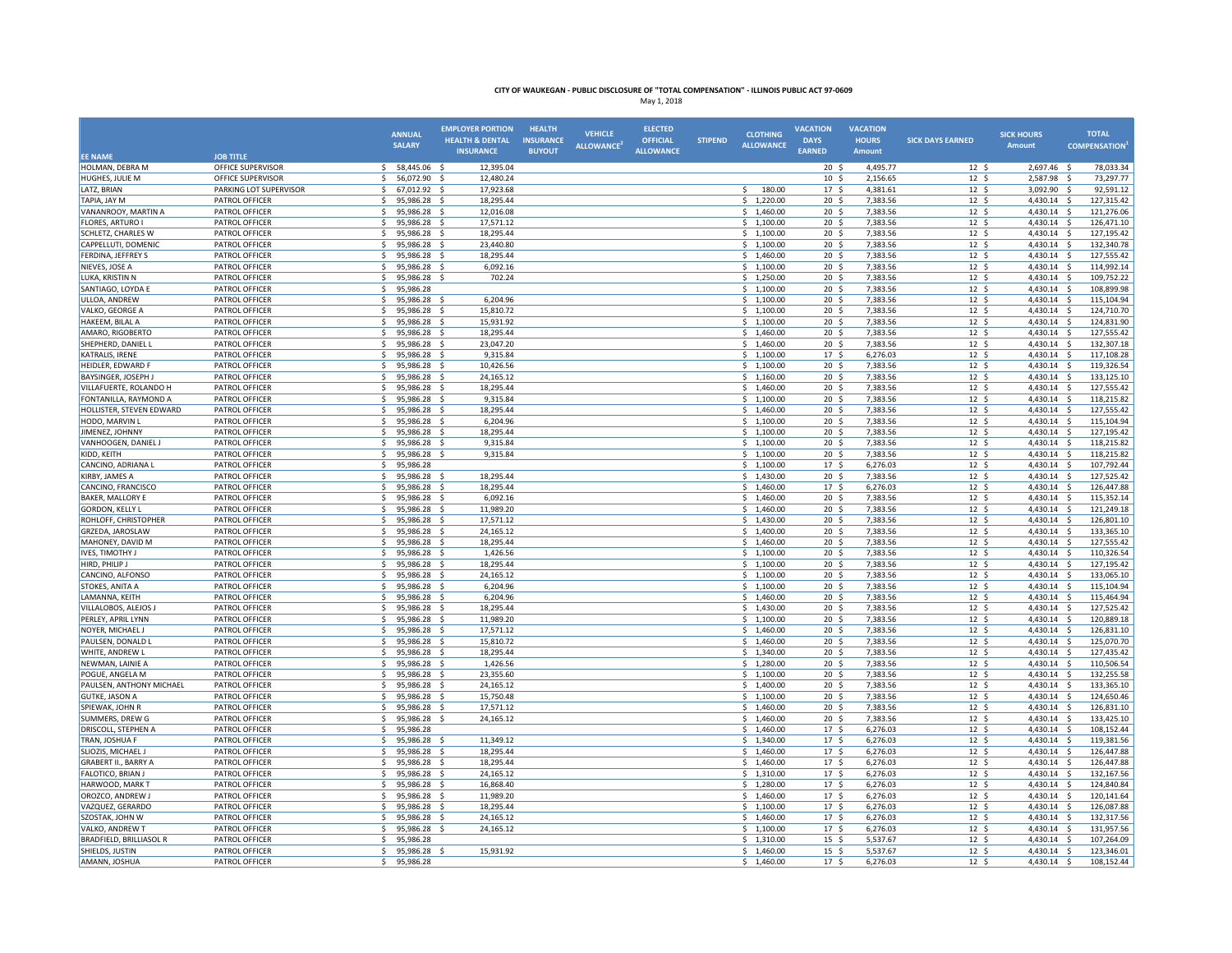|                                                 |                                  | <b>ANNUAL</b>                          | <b>EMPLOYER PORTION</b>                        | <b>HEALTH</b>                     | <b>VEHICLE</b>                | <b>ELECTED</b>                      |                | <b>CLOTHING</b>          | <b>VACATION</b>                     | <b>VACATION</b>        |                                    | <b>SICK HOURS</b>          | <b>TOTAL</b>                      |
|-------------------------------------------------|----------------------------------|----------------------------------------|------------------------------------------------|-----------------------------------|-------------------------------|-------------------------------------|----------------|--------------------------|-------------------------------------|------------------------|------------------------------------|----------------------------|-----------------------------------|
|                                                 |                                  | <b>SALARY</b>                          | <b>HEALTH &amp; DENTAL</b><br><b>INSURANCE</b> | <b>INSURANCE</b><br><b>BUYOUT</b> | <b>ALLOWANCE</b> <sup>*</sup> | <b>OFFICIAL</b><br><b>ALLOWANCE</b> | <b>STIPEND</b> | <b>ALLOWANCE</b>         | <b>DAYS</b><br><b>EARNED</b>        | <b>HOURS</b><br>Amount | <b>SICK DAYS EARNED</b>            | <b>Amount</b>              | <b>COMPENSATION</b>               |
| <b>EE NAME</b>                                  | <b>JOB TITLE</b>                 |                                        |                                                |                                   |                               |                                     |                |                          |                                     |                        |                                    |                            |                                   |
| HOLMAN, DEBRA M                                 | OFFICE SUPERVISOR                | 58,445.06 \$<br>S.                     | 12,395.04                                      |                                   |                               |                                     |                |                          | $20 \frac{2}{3}$                    | 4,495.77               | $12 \div$                          | 2,697.46 \$                | 78,033.34                         |
| HUGHES, JULIE M                                 | OFFICE SUPERVISOR                | S.<br>56,072.90 \$                     | 12,480.24                                      |                                   |                               |                                     |                | Ś.<br>180.00             | 10 <sup>5</sup>                     | 2,156.65               | 12 <sup>5</sup>                    | 2,587.98 \$                | 73,297.77                         |
| LATZ, BRIAN                                     | PARKING LOT SUPERVISOR           | \$<br>67,012.92 \$                     | 17,923.68<br>-S                                |                                   |                               |                                     |                |                          | 17 <sup>5</sup>                     | 4,381.61               | 12 <sup>5</sup><br>$12 \quad$      | 3,092.90 \$                | 92,591.12                         |
| TAPIA, JAY M<br>VANANROOY, MARTIN A             | PATROL OFFICER<br>PATROL OFFICER | \$<br>95,986.28<br>S.<br>95,986.28 \$  | 18,295.44<br>12,016.08                         |                                   |                               |                                     |                | \$1,220.00<br>\$1,460.00 | 20 <sup>5</sup><br>20 <sub>5</sub>  | 7,383.56<br>7,383.56   | 12 <sup>5</sup>                    | 4,430.14<br>4,430.14 \$    | -\$<br>127,315.42<br>121,276.06   |
| <b>FLORES, ARTURO I</b>                         | PATROL OFFICER                   | 95,986.28 \$<br>-Ś                     | 17,571.12                                      |                                   |                               |                                     |                | \$1,100.00               | 20 <sub>5</sub>                     | 7,383.56               | 12 <sup>5</sup>                    | 4,430.14 \$                | 126,471.10                        |
| <b>SCHLETZ, CHARLES W</b>                       | PATROL OFFICER                   | S.<br>95,986.28 \$                     | 18,295.44                                      |                                   |                               |                                     |                | \$1,100.00               | 20 <sup>5</sup>                     | 7,383.56               | 12 <sup>5</sup>                    | 4,430.14 \$                | 127,195.42                        |
| CAPPELLUTI, DOMENIC                             | PATROL OFFICER                   | S.<br>95,986.28                        | - \$<br>23,440.80                              |                                   |                               |                                     |                | \$1,100.00               | 20 <sub>5</sub>                     | 7,383.56               | $12 \text{ }$                      | 4,430.14 \$                | 132,340.78                        |
| FERDINA, JEFFREY S                              | PATROL OFFICER                   | -Ś<br>95,986.28                        | 18,295.44<br>- S                               |                                   |                               |                                     |                | \$1,460.00               | $20 \frac{2}{3}$                    | 7,383.56               | $12 \quad$                         | 4,430.14                   | 127,555.42<br>-\$                 |
| NIEVES, JOSE A                                  | PATROL OFFICER                   | Ŝ.<br>95,986.28                        | 6,092.16<br>- \$                               |                                   |                               |                                     |                | \$1,100.00               | 20 <sub>5</sub>                     | 7,383.56               | 12 <sup>5</sup>                    | 4,430.14 \$                | 114,992.14                        |
| LUKA, KRISTIN N                                 | PATROL OFFICER                   | 95,986.28<br>-\$                       | 702.24<br>S.                                   |                                   |                               |                                     |                | \$1,250.00               | 20 <sub>5</sub>                     | 7,383.56               | 12 <sup>5</sup>                    | 4,430.14 \$                | 109,752.22                        |
| SANTIAGO, LOYDA E                               | PATROL OFFICER                   | S.<br>95,986.28                        |                                                |                                   |                               |                                     |                | \$1,100.00               | $20 \frac{2}{3}$                    | 7,383.56               | $12 \text{ }$                      | 4,430.14 \$                | 108,899.98                        |
| ULLOA, ANDREW                                   | PATROL OFFICER                   | \$<br>95,986.28                        | 6,204.96<br>- Ś                                |                                   |                               |                                     |                | \$1,100.00               | 20 <sup>5</sup>                     | 7,383.56               | $12 \div$                          | 4,430.14 \$                | 115,104.94                        |
| VALKO, GEORGE A                                 | PATROL OFFICER                   | \$<br>95,986.28                        | 15,810.72                                      |                                   |                               |                                     |                | \$1,100.00               | 20 <sub>5</sub>                     | 7,383.56               | 12 <sup>5</sup>                    | 4,430.14 \$                | 124,710.70                        |
| <b>HAKEEM, BILAL A</b>                          | PATROL OFFICER                   | -Ś<br>95.986.28                        | s.<br>15.931.92                                |                                   |                               |                                     |                | \$1,100.00               | 20 <sub>5</sub>                     | 7.383.56               | $12 \text{ }$                      | 4,430.14 \$                | 124.831.90                        |
| AMARO, RIGOBERTO                                | PATROL OFFICER                   | S.<br>95,986.28                        | 18,295.44<br>- Ś                               |                                   |                               |                                     |                | \$1,460.00               | 20 <sub>5</sub>                     | 7,383.56               | 12 <sup>5</sup>                    | 4,430.14 \$                | 127,555.42                        |
| SHEPHERD, DANIEL L                              | PATROL OFFICER                   | S.<br>95,986.28 \$                     | 23,047.20                                      |                                   |                               |                                     |                | \$1,460.00               | 20 <sub>5</sub>                     | 7,383.56               | 12 <sup>5</sup>                    | 4,430.14 \$                | 132,307.18                        |
| <b>KATRALIS, IRENE</b>                          | PATROL OFFICER                   | S.<br>95,986.28                        | 9,315.84<br>$\sim$                             |                                   |                               |                                     |                | \$1,100.00               | 17 <sup>5</sup>                     | 6,276.03               | 12 <sup>5</sup>                    | 4,430.14 \$                | 117,108.28                        |
| <b>HEIDLER, EDWARD F</b><br>BAYSINGER, JOSEPH J | PATROL OFFICER<br>PATROL OFFICER | 95,986.28<br>.s<br>Ŝ.<br>95,986.28     | 10,426.56<br>- Ś<br>-\$<br>24,165.12           |                                   |                               |                                     |                | \$1,100.00<br>\$1,160.00 | $20 \frac{2}{3}$<br>20 <sup>5</sup> | 7,383.56<br>7,383.56   | $12 \quad$<br>12 <sup>5</sup>      | 4,430.14<br>4,430.14 \$    | -\$<br>119,326.54<br>133,125.10   |
| VILLAFUERTE, ROLANDO H                          | PATROL OFFICER                   | \$<br>95,986.28 \$                     | 18,295.44                                      |                                   |                               |                                     |                | \$1,460.00               | $20 \frac{2}{3}$                    | 7,383.56               | $12 \quad$                         | 4,430.14 \$                | 127,555.42                        |
| FONTANILLA, RAYMOND A                           | PATROL OFFICER                   | 95,986.28<br>-S                        | 9,315.84                                       |                                   |                               |                                     |                | \$1,100.00               | 20 <sub>5</sub>                     | 7,383.56               | 12 <sup>5</sup>                    | 4,430.14 \$                | 118,215.82                        |
| HOLLISTER, STEVEN EDWARD                        | PATROL OFFICER                   | \$<br>95,986.28                        | 18,295.44<br>-S                                |                                   |                               |                                     |                | \$1,460.00               | $20 \frac{2}{3}$                    | 7,383.56               | $12 \div$                          | 4,430.14 \$                | 127,555.42                        |
| HODO, MARVIN L                                  | PATROL OFFICER                   | S.<br>95,986.28                        | 6,204.96                                       |                                   |                               |                                     |                | \$1,100.00               | 20 <sub>5</sub>                     | 7,383.56               | 12 <sup>5</sup>                    | 4,430.14 \$                | 115,104.94                        |
| JIMENEZ, JOHNNY                                 | PATROL OFFICER                   | S.<br>95,986.28                        | - \$<br>18,295.44                              |                                   |                               |                                     |                | \$1,100.00               | 20 <sup>5</sup>                     | 7,383.56               | 12 <sup>5</sup>                    | 4,430.14 \$                | 127,195.42                        |
| VANHOOGEN, DANIEL J                             | PATROL OFFICER                   | 95,986.28 \$<br>-\$                    | 9,315.84                                       |                                   |                               |                                     |                | \$1,100.00               | 20 <sub>5</sub>                     | 7,383.56               | 12 <sup>5</sup>                    | 4,430.14 \$                | 118,215.82                        |
| KIDD, KEITH                                     | PATROL OFFICER                   | 95,986.28 \$<br>-S                     | 9,315.84                                       |                                   |                               |                                     |                | \$1,100.00               | $20 \frac{2}{3}$                    | 7,383.56               | $12 \text{ }$                      | 4,430.14 \$                | 118,215.82                        |
| CANCINO, ADRIANA L                              | PATROL OFFICER                   | 95,986.28<br><sup>\$</sup>             |                                                |                                   |                               |                                     |                | \$1,100.00               | 17 <sup>5</sup>                     | 6,276.03               | $12 \div$                          | 4,430.14                   | 107,792.44<br>- \$                |
| KIRBY, JAMES A                                  | PATROL OFFICER                   | Ŝ.<br>95,986.28                        | 18,295.44                                      |                                   |                               |                                     |                | \$<br>1,430.00           | 20 <sub>5</sub>                     | 7,383.56               | 12 <sup>5</sup>                    | 4,430.14                   | 127,525.42<br>- \$                |
| CANCINO, FRANCISCO                              | PATROL OFFICER                   | -Ś<br>95.986.28                        | 18.295.44<br>- S                               |                                   |                               |                                     |                | \$1.460.00               | 17 <sup>5</sup>                     | 6.276.03               | 12 <sup>5</sup>                    | 4.430.14 \$                | 126.447.88                        |
| <b>BAKER, MALLORY E</b>                         | PATROL OFFICER                   | 95,986.28 \$<br>-\$                    | 6,092.16                                       |                                   |                               |                                     |                | \$1,460.00               | $20 \frac{2}{3}$                    | 7,383.56               | $12 \text{ }$                      | 4,430.14 \$                | 115,352.14                        |
| <b>GORDON, KELLY L</b>                          | PATROL OFFICER                   | 95,986.28 \$<br>$\dot{\mathbf{S}}$     | 11,989.20                                      |                                   |                               |                                     |                | \$1,460.00               | 20 <sup>5</sup>                     | 7,383.56               | 12 <sup>5</sup>                    | 4,430.14 \$                | 121,249.18                        |
| ROHLOFF, CHRISTOPHER                            | PATROL OFFICER                   | <sup>\$</sup><br>95,986.28             | 17,571.12<br>$\sim$                            |                                   |                               |                                     |                | \$1,430.00               | 20 <sub>5</sub>                     | 7,383.56               | 12 <sup>5</sup>                    | 4,430.14 \$                | 126,801.10                        |
| GRZEDA, JAROSLAW<br>MAHONEY, DAVID M            | PATROL OFFICER<br>PATROL OFFICER | S.<br>95,986.28<br>S.<br>95,986.28     | - \$<br>24,165.12<br>- \$<br>18,295.44         |                                   |                               |                                     |                | \$1,400.00<br>\$1,460.00 | 20 <sup>5</sup><br>20 <sup>5</sup>  | 7,383.56<br>7,383.56   | 12 <sup>5</sup><br>12 <sup>5</sup> | 4,430.14 \$<br>4,430.14 \$ | 133,365.10<br>127,555.42          |
| <b>IVES, TIMOTHY J</b>                          | PATROL OFFICER                   | 95,986.28 \$<br>-\$                    | 1,426.56                                       |                                   |                               |                                     |                | \$1,100.00               | $20 \frac{2}{3}$                    | 7,383.56               | $12 \div$                          | 4,430.14 \$                | 110,326.54                        |
| HIRD, PHILIP J                                  | PATROL OFFICER                   | 95,986.28<br>$\dot{\mathbf{S}}$        | 18,295.44<br>- \$                              |                                   |                               |                                     |                | \$1,100.00               | 20 <sup>5</sup>                     | 7,383.56               | 12 <sup>5</sup>                    | 4,430.14 \$                | 127,195.42                        |
| CANCINO, ALFONSO                                | PATROL OFFICER                   | $\hat{\zeta}$<br>95,986.28             | 24,165.12<br>-S                                |                                   |                               |                                     |                | \$1,100.00               | $20 \frac{2}{3}$                    | 7,383.56               | $12 \div$                          | 4,430.14                   | 133,065.10<br>s.                  |
| STOKES, ANITA A                                 | PATROL OFFICER                   | Ŝ.<br>95,986.28                        | 6,204.96                                       |                                   |                               |                                     |                | \$1,100.00               | 20 <sup>5</sup>                     | 7,383.56               | $12 \text{ }$                      | 4,430.14                   | 115,104.94<br>- Ś                 |
| LAMANNA, KEITH                                  | PATROL OFFICER                   | 95,986.28<br>S.                        | 6.204.96<br>$\sim$                             |                                   |                               |                                     |                | \$1,460.00               | 20 <sup>5</sup>                     | 7,383.56               | 12 <sup>5</sup>                    | 4,430.14 \$                | 115,464.94                        |
| VILLALOBOS, ALEJOS J                            | PATROL OFFICER                   | -\$<br>95,986.28                       | 18,295.44<br>- S                               |                                   |                               |                                     |                | \$1,430.00               | 20 <sub>5</sub>                     | 7,383.56               | 12 <sup>5</sup>                    | 4,430.14 \$                | 127,525.42                        |
| PERLEY, APRIL LYNN                              | PATROL OFFICER                   | 95,986.28 \$<br>-S                     | 11,989.20                                      |                                   |                               |                                     |                | \$1,100.00               | $20 \frac{2}{3}$                    | 7,383.56               | $12 \text{ }$                      | 4,430.14 \$                | 120,889.18                        |
| NOYER, MICHAEL J                                | PATROL OFFICER                   | Ŝ.<br>95,986.28                        | 17,571.12<br>- \$                              |                                   |                               |                                     |                | \$1,460.00               | $20 \frac{2}{3}$                    | 7,383.56               | $12 \div$                          | 4,430.14 \$                | 126,831.10                        |
| PAULSEN, DONALD L                               | PATROL OFFICER                   | S.<br>95,986.28                        | 15,810.72<br>- Ś                               |                                   |                               |                                     |                | \$1,460.00               | 20 <sub>5</sub>                     | 7,383.56               | 12 <sup>5</sup>                    | 4,430.14 \$                | 125,070.70                        |
| WHITE, ANDREW L                                 | PATROL OFFICER                   | \$<br>95,986.28                        | 18.295.44<br>- S                               |                                   |                               |                                     |                | \$1,340.00               | 20 <sub>5</sub>                     | 7.383.56               | 12 <sup>5</sup>                    | 4,430.14 \$                | 127.435.42                        |
| NEWMAN, LAINIE A                                | PATROL OFFICER                   | 95,986.28 \$<br>-\$                    | 1,426.56                                       |                                   |                               |                                     |                | \$1,280.00               | $20 \frac{2}{3}$                    | 7,383.56               | $12 \; \text{S}$                   | 4,430.14 \$                | 110,506.54                        |
| POGUE, ANGELA M                                 | PATROL OFFICER                   | $\dot{\mathbf{S}}$<br>95,986.28        | $\mathcal{S}$<br>23,355.60                     |                                   |                               |                                     |                | \$1,100.00               | 20 <sub>5</sub>                     | 7,383.56               | 12 <sup>5</sup>                    | 4,430.14                   | 132,255.58<br>- \$                |
| PAULSEN, ANTHONY MICHAEL                        | PATROL OFFICER                   | <sup>\$</sup><br>95,986.28             | 24,165.12<br>-Ś                                |                                   |                               |                                     |                | \$1,400.00               | 20 <sup>5</sup>                     | 7,383.56               | 12 <sup>5</sup>                    | 4,430.14                   | $\ddot{\mathsf{s}}$<br>133,365.10 |
| <b>GUTKE, JASON A</b>                           | PATROL OFFICER                   | <sup>\$</sup><br>95,986.28             | 15,750.48<br>.S                                |                                   |                               |                                     |                | \$1,100.00               | 20 <sup>5</sup>                     | 7,383.56               | 12 <sup>5</sup>                    | 4,430.14                   | -Ś<br>124,650.46                  |
| SPIEWAK, JOHN R                                 | PATROL OFFICER                   | \$<br>95,986.28                        | 17,571.12<br>$\ddot{\varsigma}$                |                                   |                               |                                     |                | \$1,460.00               | 20 <sub>5</sub>                     | 7,383.56               | $12 \div$                          | 4,430.14 \$                | 126,831.10                        |
| SUMMERS, DREW G<br>DRISCOLL, STEPHEN A          | PATROL OFFICER<br>PATROL OFFICER | 95,986.28 \$<br>-\$<br>S.<br>95,986.28 | 24,165.12                                      |                                   |                               |                                     |                | \$1,460.00<br>\$1,460.00 | $20 \frac{2}{3}$<br>17 <sup>5</sup> | 7,383.56<br>6,276.03   | $12 \text{ }$<br>12 <sup>5</sup>   | 4,430.14 \$<br>4,430.14 \$ | 133,425.10<br>108,152.44          |
| TRAN, JOSHUA F                                  | PATROL OFFICER                   | Ŝ.<br>95,986.28                        | 11,349.12<br>- S                               |                                   |                               |                                     |                | \$1,340.00               | 17 <sup>5</sup>                     | 6,276.03               | 12 <sup>5</sup>                    | 4,430.14 \$                | 119,381.56                        |
| SLIOZIS, MICHAEL J                              | PATROL OFFICER                   | S.<br>95,986.28                        | 18,295.44<br>- S                               |                                   |                               |                                     |                | \$1,460.00               | 17 <sup>5</sup>                     | 6,276.03               | $12 \text{ }$                      | 4,430.14 \$                | 126,447.88                        |
| <b>GRABERT II., BARRY A</b>                     | PATROL OFFICER                   | 95,986.28<br>S.                        | 18,295.44<br>$\mathbf{\hat{S}}$                |                                   |                               |                                     |                | \$1,460.00               | 17 <sup>5</sup>                     | 6,276.03               | 12 <sup>5</sup>                    | 4,430.14 \$                | 126,447.88                        |
| FALOTICO, BRIAN J                               | PATROL OFFICER                   | S.<br>95,986.28                        | 24,165.12<br>- S                               |                                   |                               |                                     |                | \$1,310.00               | 17 <sup>5</sup>                     | 6,276.03               | 12 <sup>5</sup>                    | 4,430.14 \$                | 132,167.56                        |
| HARWOOD, MARK T                                 | PATROL OFFICER                   | -Ś<br>95.986.28                        | 16.868.40<br>- S                               |                                   |                               |                                     |                | \$1,280.00               | 17 <sup>5</sup>                     | 6.276.03               | 12S                                | 4.430.14 \$                | 124,840,84                        |
| OROZCO, ANDREW.                                 | PATROL OFFICER                   | Ŝ.<br>95,986.28                        | 11,989.20<br>- Ś                               |                                   |                               |                                     |                | \$<br>1,460.00           | 17 <sup>5</sup>                     | 6,276.03               | $12 \text{ }$                      | 4,430.14                   | 120,141.64<br>- Ś                 |
| VAZQUEZ, GERARDO                                | PATROL OFFICER                   | Ŝ.<br>95,986.28                        | 18,295.44<br>- Ś                               |                                   |                               |                                     |                | \$1,100.00               | 17 <sup>5</sup>                     | 6,276.03               | 12 <sup>5</sup>                    | 4,430.14 \$                | 126,087.88                        |
| SZOSTAK, JOHN W                                 | PATROL OFFICER                   | 95,986.28<br>S.                        | 24.165.12<br>$\sim$                            |                                   |                               |                                     |                | \$1,460.00               | 17 <sup>5</sup>                     | 6,276.03               | 12 <sup>5</sup>                    | 4,430.14 \$                | 132,317.56                        |
| VALKO, ANDREW T                                 | PATROL OFFICER                   | -\$<br>95,986.28                       | 24,165.12<br>- \$                              |                                   |                               |                                     |                | \$1,100.00               | 17 <sup>5</sup>                     | 6,276.03               | $12 \text{ }$                      | 4,430.14 \$                | 131,957.56                        |
| BRADFIELD, BRILLIASOL R                         | PATROL OFFICER                   | Ŝ.<br>95,986.28                        |                                                |                                   |                               |                                     |                | \$1,310.00               | 15 <sup>5</sup>                     | 5,537.67               | $12 \text{ }$                      | 4,430.14 \$                | 107,264.09                        |
| SHIELDS, JUSTIN                                 | PATROL OFFICER                   | \$<br>95,986.28                        | 15,931.92<br>5                                 |                                   |                               |                                     |                | \$1,460.00               | $15 \;$ \$                          | 5,537.67               | 12 <sup>5</sup>                    | 4,430.14 \$                | 123,346.01                        |
| AMANN, JOSHUA                                   | PATROL OFFICER                   | Ŝ.<br>95,986.28                        |                                                |                                   |                               |                                     |                | \$1,460.00               | 17 <sup>5</sup>                     | 6,276.03               | $12 \quad$                         | 4,430.14 \$                | 108,152.44                        |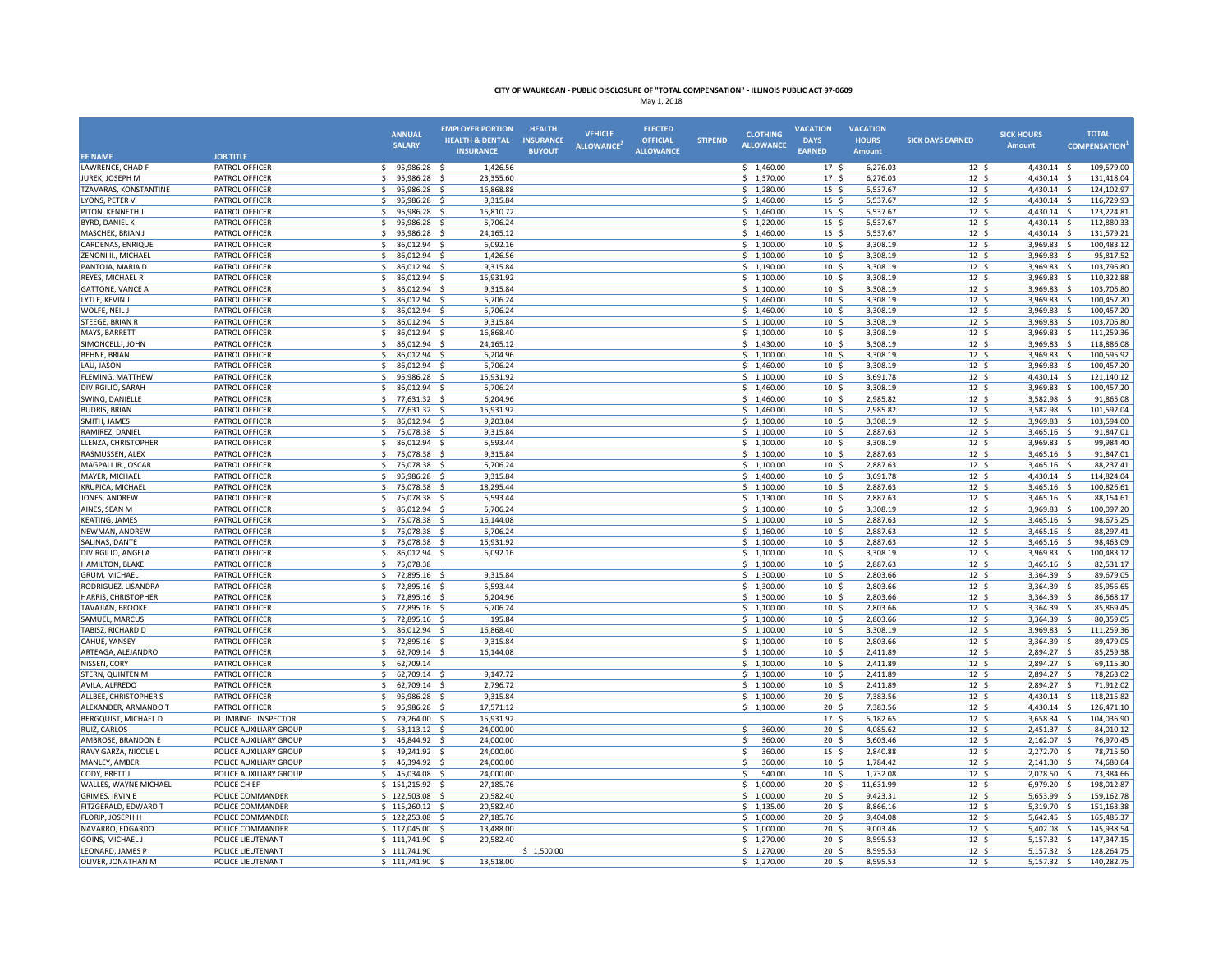|                                          |                                  | <b>ANNUAL</b>                                | <b>EMPLOYER PORTION</b>    | <b>HEALTH</b>    | <b>VEHICLE</b>   | <b>ELECTED</b>   |                | <b>CLOTHING</b>          | <b>VACATION</b>                     | <b>VACATION</b>      |                                     | <b>SICK HOURS</b>       | <b>TOTAL</b>                           |
|------------------------------------------|----------------------------------|----------------------------------------------|----------------------------|------------------|------------------|------------------|----------------|--------------------------|-------------------------------------|----------------------|-------------------------------------|-------------------------|----------------------------------------|
|                                          |                                  | <b>SALARY</b>                                | <b>HEALTH &amp; DENTAL</b> | <b>INSURANCE</b> | <b>ALLOWANCE</b> | <b>OFFICIAL</b>  | <b>STIPEND</b> | <b>ALLOWANCE</b>         | <b>DAYS</b>                         | <b>HOURS</b>         | <b>SICK DAYS EARNED</b>             | <b>Amount</b>           | <b>COMPENSATION</b>                    |
| <b>EE NAME</b>                           | <b>JOB TITLE</b>                 |                                              | <b>INSURANCE</b>           | <b>BUYOUT</b>    |                  | <b>ALLOWANCE</b> |                |                          | <b>EARNED</b>                       | Amount               |                                     |                         |                                        |
| LAWRENCE, CHAD F                         | PATROL OFFICER                   | 95,986.28 \$<br>S.                           | 1,426.56                   |                  |                  |                  |                | \$1,460.00               | 17 <sup>5</sup>                     | 6,276.03             | 12 <sup>5</sup>                     | 4,430.14 \$             | 109,579.00                             |
| JUREK, JOSEPH M                          | PATROL OFFICER                   | S.<br>95,986.28 \$                           | 23,355.60                  |                  |                  |                  |                | \$1,370.00               | 17 <sup>5</sup>                     | 6,276.03             | 12 <sup>5</sup>                     | 4,430.14 \$             | 131,418.04                             |
| TZAVARAS, KONSTANTINE                    | PATROL OFFICER                   | $\mathsf{S}$<br>95,986.28 \$                 | 16,868.88                  |                  |                  |                  |                | \$1,280.00               | 15 <sup>5</sup>                     | 5,537.67             | 12 <sup>5</sup>                     | 4,430.14 \$             | 124,102.97                             |
| LYONS, PETER V                           | PATROL OFFICER                   | -\$<br>95,986.28<br>- 9                      | 9,315.84                   |                  |                  |                  |                | \$1,460.00               | $15 \frac{2}{3}$                    | 5,537.67             | $12 \div$                           | 4,430.14                | -\$<br>116,729.93                      |
| PITON, KENNETH J                         | PATROL OFFICER                   | -Ś<br>95,986.28<br>- S                       | 15,810.72                  |                  |                  |                  |                | \$1,460.00               | 15 <sup>5</sup>                     | 5,537.67             | 12 <sup>5</sup>                     | 4,430.14 \$             | 123,224.81                             |
| BYRD, DANIEL K                           | PATROL OFFICER                   | 95,986.28 \$<br>\$                           | 5,706.24                   |                  |                  |                  |                | \$1,220.00               | $15 \frac{2}{3}$                    | 5,537.67             | 12 <sup>5</sup>                     | 4,430.14 \$             | 112,880.33                             |
| MASCHEK, BRIAN.                          | PATROL OFFICER                   | -S<br>95,986.28 \$<br>$\mathsf{s}$           | 24,165.12                  |                  |                  |                  |                | \$1,460.00               | 15 <sup>5</sup>                     | 5,537.67             | 12 <sup>5</sup>                     | 4,430.14 \$             | 131,579.21                             |
| CARDENAS, ENRIQUE<br>ZENONI II., MICHAEL | PATROL OFFICER<br>PATROL OFFICER | 86,012.94<br>- \$<br>86,012.94<br>-Ś<br>- \$ | 6,092.16<br>1,426.56       |                  |                  |                  |                | \$1,100.00<br>\$1,100.00 | 10 <sup>5</sup><br>$10 \frac{2}{3}$ | 3,308.19<br>3,308.19 | $12 \quad$<br>$12 \div$             | 3,969.83<br>3,969.83    | 100,483.12<br>- \$<br>-\$<br>95,817.52 |
| PANTOJA, MARIA D                         | PATROL OFFICER                   | 86,012.94<br>-Ś<br>- \$                      | 9,315.84                   |                  |                  |                  |                | \$1,190.00               | 10 <sup>5</sup>                     | 3,308.19             | 12 <sup>5</sup>                     | 3,969.83                | 103,796.80<br>- \$                     |
| REYES, MICHAEL R                         | PATROL OFFICER                   | 86,012.94 \$<br>-S                           | 15,931.92                  |                  |                  |                  |                | \$1,100.00               | 10 <sup>5</sup>                     | 3,308.19             | 12 <sup>5</sup>                     | 3,969.83                | 110,322.88<br>- \$                     |
| <b>GATTONE, VANCE A</b>                  | PATROL OFFICER                   | 86,012.94<br>-Ś<br>- S                       | 9,315.84                   |                  |                  |                  |                | \$1,100.00               | 10 <sup>5</sup>                     | 3,308.19             | $12 \quad$                          | 3,969.83                | - \$<br>103,706.80                     |
| LYTLE, KEVIN J                           | PATROL OFFICER                   | $\mathsf{S}$<br>86,012.94<br>- \$            | 5,706.24                   |                  |                  |                  |                | \$1,460.00               | 10 <sup>5</sup>                     | 3,308.19             | 12 <sup>5</sup>                     | 3,969.83 \$             | 100,457.20                             |
| WOLFE, NEIL J                            | PATROL OFFICER                   | <sub>S</sub><br>86,012.94<br>- \$            | 5,706.24                   |                  |                  |                  |                | \$1,460.00               | 10 <sup>5</sup>                     | 3,308.19             | 12 <sup>5</sup>                     | 3,969.83                | S.<br>100,457.20                       |
| STEEGE, BRIAN R                          | PATROL OFFICER                   | $\mathsf{s}$<br>86.012.94 \$                 | 9.315.84                   |                  |                  |                  |                | $5$ 1.100.00             | 10 <sup>5</sup>                     | 3.308.19             | 12 <sup>5</sup>                     | 3,969.83 \$             | 103.706.80                             |
| MAYS, BARRETT                            | PATROL OFFICER                   | 86,012.94 \$<br>-Ś                           | 16,868.40                  |                  |                  |                  |                | \$1,100.00               | 10 <sup>5</sup>                     | 3,308.19             | $12 \div$                           | 3,969.83 \$             | 111,259.36                             |
| SIMONCELLI, JOHN                         | PATROL OFFICER                   | \$<br>86,012.94 \$                           | 24,165.12                  |                  |                  |                  |                | \$1,430.00               | 10 <sup>5</sup>                     | 3,308.19             | 12 <sup>5</sup>                     | 3,969.83                | - \$<br>118,886.08                     |
| <b>BEHNE, BRIAN</b>                      | PATROL OFFICER                   | <sup>5</sup><br>86,012.94 \$                 | 6.204.96                   |                  |                  |                  |                | \$1,100.00               | 10 <sup>5</sup>                     | 3,308.19             | $12 \div$                           | 3,969.83                | S.<br>100,595.92                       |
| LAU, JASON                               | PATROL OFFICER                   | 86,012.94<br>-Ś<br>- \$                      | 5,706.24                   |                  |                  |                  |                | \$1,460.00               | $10 \frac{1}{5}$                    | 3,308.19             | $12 \quad$                          | 3,969.83                | 100,457.20<br>\$                       |
| FLEMING, MATTHEW                         | PATROL OFFICER                   | -Ś<br>95,986.28<br>$\dot{\mathbf{S}}$        | 15,931.92                  |                  |                  |                  |                | \$1,100.00               | 10 <sup>5</sup>                     | 3,691.78             | 12 <sup>5</sup>                     | 4,430.14                | -\$<br>121,140.12                      |
| DIVIRGILIO, SARAH                        | PATROL OFFICER                   | \$<br>86,012.94 \$                           | 5,706.24                   |                  |                  |                  |                | \$1,460.00               | 10 <sup>5</sup>                     | 3,308.19             | 12 <sup>5</sup>                     | 3,969.83 \$             | 100,457.20                             |
| SWING, DANIELLE                          | PATROL OFFICER                   | 77,631.32<br>-S                              | 6,204.96                   |                  |                  |                  |                | \$1,460.00               | 10 <sup>5</sup>                     | 2,985.82             | 12 <sup>5</sup>                     | 3,582.98                | 91,865.08<br>- 5                       |
| <b>BUDRIS, BRIAN</b>                     | PATROL OFFICER                   | $\mathsf{S}$<br>77,631.32<br>$\prec$         | 15,931.92                  |                  |                  |                  |                | \$1,460.00               | 10 <sup>5</sup>                     | 2,985.82             | $12 \div$                           | 3,582.98 \$             | 101,592.04                             |
| SMITH, JAMES                             | PATROL OFFICER                   | -Ś<br>86,012.94                              | 9,203.04                   |                  |                  |                  |                | \$1,100.00               | 10 <sup>5</sup>                     | 3,308.19             | 12 <sup>5</sup>                     | 3,969.83                | -\$<br>103,594.00                      |
| RAMIREZ, DANIEL                          | PATROL OFFICER                   | \$<br>75,078.38<br>- \$                      | 9,315.84                   |                  |                  |                  |                | \$1,100.00               | 10 <sup>5</sup>                     | 2,887.63             | 12 <sup>5</sup>                     | 3,465.16 \$             | 91,847.01                              |
| LLENZA, CHRISTOPHER                      | PATROL OFFICER                   | 86,012.94 \$<br>-S                           | 5,593.44                   |                  |                  |                  |                | \$1,100.00               | 10 <sup>5</sup>                     | 3,308.19             | 12 <sup>5</sup>                     | $3,969.83$ \$           | 99,984.40                              |
| RASMUSSEN, ALEX                          | PATROL OFFICER                   | 75,078.38 \$<br>-S                           | 9,315.84                   |                  |                  |                  |                | \$1,100.00               | 10 <sup>5</sup>                     | 2,887.63             | $12 \quad$                          | 3,465.16                | 91,847.01<br>- S                       |
| MAGPALI JR., OSCAR                       | PATROL OFFICER                   | 75,078.38<br>$\mathsf{s}$<br>- \$<br>-Ś      | 5,706.24<br>9,315.84       |                  |                  |                  |                | \$1,100.00               | 10 <sup>5</sup>                     | 2,887.63             | $12 \div$<br>12 <sup>5</sup>        | 3,465.16                | 88,237.41<br>- \$<br>114,824.04        |
| MAYER, MICHAEL<br>KRUPICA, MICHAEL       | PATROL OFFICER<br>PATROL OFFICER | 95,986.28<br>Ŝ.<br>75.078.38<br>- \$         | 18.295.44                  |                  |                  |                  |                | \$1,400.00<br>\$1,100.00 | 10 <sup>5</sup><br>10 <sup>5</sup>  | 3,691.78<br>2.887.63 | 12 <sup>5</sup>                     | 4,430.14<br>3,465.16 \$ | - \$<br>100.826.61                     |
| JONES, ANDREW                            | PATROL OFFICER                   | 75,078.38 \$<br>\$                           | 5,593.44                   |                  |                  |                  |                | \$1,130.00               | $10 \frac{2}{3}$                    | 2,887.63             | $12 \div$                           | 3,465.16 \$             | 88,154.61                              |
| AINES, SEAN M                            | PATROL OFFICER                   | 86,012.94 \$<br>\$                           | 5,706.24                   |                  |                  |                  |                | \$1,100.00               | 10 <sup>5</sup>                     | 3,308.19             | 12 <sup>5</sup>                     | 3,969.83 \$             | 100,097.20                             |
| <b>KEATING, JAMES</b>                    | PATROL OFFICER                   | <sup>5</sup><br>75,078.38                    | 16,144.08                  |                  |                  |                  |                | \$1,100.00               | 10 <sup>5</sup>                     | 2,887.63             | 12 <sup>5</sup>                     | 3,465.16                | S.<br>98,675.25                        |
| NEWMAN, ANDREW                           | PATROL OFFICER                   | \$<br>75,078.38                              | 5,706.24                   |                  |                  |                  |                | \$1,160.00               | 10 <sup>5</sup>                     | 2,887.63             | 12 <sup>5</sup>                     | 3,465.16                | - \$<br>88,297.41                      |
| SALINAS, DANTE                           | PATROL OFFICER                   | \$<br>75,078.38<br>- \$                      | 15,931.92                  |                  |                  |                  |                | \$1,100.00               | 10 <sup>5</sup>                     | 2,887.63             | 12 <sup>5</sup>                     | 3,465.16 \$             | 98,463.09                              |
| DIVIRGILIO, ANGELA                       | PATROL OFFICER                   | 86,012.94 \$<br>\$                           | 6,092.16                   |                  |                  |                  |                | \$1,100.00               | $10 \; \text{S}$                    | 3,308.19             | $12 \div$                           | 3,969.83 \$             | 100,483.12                             |
| HAMILTON, BLAKE                          | PATROL OFFICER                   | 75,078.38<br>\$                              |                            |                  |                  |                  |                | \$1,100.00               | 10 <sup>5</sup>                     | 2,887.63             | 12 <sup>5</sup>                     | 3,465.16                | 82,531.17<br>- \$                      |
| GRUM, MICHAEL                            | PATROL OFFICER                   | $\leq$<br>72,895.16                          | 9,315.84                   |                  |                  |                  |                | \$1,300.00               | $10 \frac{2}{3}$                    | 2,803.66             | $12 \quad$                          | 3,364.39                | 89,679.05<br>$\mathcal{S}$             |
| RODRIGUEZ, LISANDRA                      | PATROL OFFICER                   | -Ś<br>72,895.16                              | 5,593.44                   |                  |                  |                  |                | \$1,300.00               | 10 <sup>5</sup>                     | 2,803.66             | 12 <sup>5</sup>                     | 3,364.39                | - Ś<br>85,956.65                       |
| HARRIS, CHRISTOPHER                      | PATROL OFFICER                   | 72,895.16 \$<br>\$                           | 6,204.96                   |                  |                  |                  |                | \$1,300.00               | 10 <sup>5</sup>                     | 2,803.66             | 12 <sup>5</sup>                     | 3,364.39                | 86,568.17<br>- \$                      |
| TAVAJIAN, BROOKE                         | PATROL OFFICER                   | -S<br>72,895.16 \$                           | 5,706.24                   |                  |                  |                  |                | \$1,100.00               | 10 <sup>5</sup>                     | 2,803.66             | 12 <sup>5</sup>                     | 3,364.39 \$             | 85,869.45                              |
| SAMUEL, MARCUS                           | PATROL OFFICER                   | 72,895.16 \$<br>-S                           | 195.84                     |                  |                  |                  |                | \$1,100.00               | 10 <sup>5</sup>                     | 2,803.66             | $12 \quad$                          | 3,364.39 \$             | 80,359.05                              |
| TABISZ, RICHARD D                        | PATROL OFFICER                   | <sub>S</sub><br>86,012.94 \$                 | 16,868.40                  |                  |                  |                  |                | \$1,100.00               | $10 \; \text{S}$                    | 3,308.19             | $12 \div$                           | 3,969.83                | 111,259.36<br>-\$                      |
| CAHUE, YANSEY                            | PATROL OFFICER                   | \$<br>72,895.16 \$                           | 9,315.84                   |                  |                  |                  |                | \$1,100.00               | 10 <sup>5</sup>                     | 2,803.66             | 12 <sup>5</sup>                     | 3,364.39                | - \$<br>89,479.05                      |
| ARTEAGA, ALEJANDRO                       | PATROL OFFICER                   | \$<br>62,709.14 \$                           | 16,144.08                  |                  |                  |                  |                | \$1,100.00               | 10 <sup>5</sup>                     | 2.411.89             | 12S                                 | 2,894.27 \$             | 85,259.38                              |
| NISSEN, CORY<br>STERN, QUINTEN M         | PATROL OFFICER<br>PATROL OFFICER | 62,709.14<br>\$<br>\$<br>62,709.14           | 9,147.72                   |                  |                  |                  |                | \$1,100.00<br>\$1,100.00 | $10 \frac{2}{3}$<br>10 <sup>5</sup> | 2,411.89<br>2,411.89 | $12 \; \text{S}$<br>12 <sup>5</sup> | 2,894.27 \$<br>2,894.27 | 69,115.30<br>78,263.02<br>- \$         |
| AVILA, ALFREDO                           | PATROL OFFICER                   | <sup>5</sup><br>62,709.14                    | 2,796.72                   |                  |                  |                  |                | \$1,100.00               | $10 \frac{2}{3}$                    | 2,411.89             | $12 \text{ }$                       | 2,894.27                | 71,912.02<br>$\mathsf{s}$              |
| ALLBEE, CHRISTOPHER S                    | PATROL OFFICER                   | 95,986.28<br>-Ś                              | 9,315.84                   |                  |                  |                  |                | \$1,100.00               | 20 <sub>5</sub>                     | 7,383.56             | 12 <sup>5</sup>                     | 4,430.14                | s.<br>118,215.82                       |
| ALEXANDER, ARMANDO 1                     | PATROL OFFICER                   | 95,986.28<br>- \$<br>-\$                     | 17,571.12                  |                  |                  |                  |                | \$1,100.00               | $20 \frac{2}{3}$                    | 7,383.56             | $12 \div$                           | 4,430.14 \$             | 126,471.10                             |
| BERGQUIST, MICHAEL D                     | PLUMBING INSPECTOR               | 79,264.00 \$<br>\$                           | 15,931.92                  |                  |                  |                  |                |                          | 17 <sup>5</sup>                     | 5,182.65             | $12 \quad$                          | 3,658.34 \$             | 104,036.90                             |
| <b>RUIZ, CARLOS</b>                      | POLICE AUXILIARY GROUP           | 53,113.12 \$<br>\$                           | 24,000.00                  |                  |                  |                  |                | 360.00<br>\$             | 20 <sub>5</sub>                     | 4,085.62             | 12 <sup>5</sup>                     | 2,451.37 \$             | 84,010.12                              |
| AMBROSE, BRANDON E                       | POLICE AUXILIARY GROUP           | $\mathsf{s}$<br>46,844.92<br>- 5             | 24,000.00                  |                  |                  |                  |                | 360.00<br>Ś              | 20 <sup>5</sup>                     | 3,603.46             | 12 <sup>5</sup>                     | 2,162.07                | 76,970.45<br>- \$                      |
| RAVY GARZA, NICOLE L                     | POLICE AUXILIARY GROUP           | \$<br>49,241.92 \$                           | 24,000.00                  |                  |                  |                  |                | 360.00<br>\$             | $15 \frac{2}{3}$                    | 2,840.88             | $12 \quad$                          | 2,272.70 \$             | 78,715.50                              |
| MANLEY, AMBER                            | POLICE AUXILIARY GROUP           | 46,394.92<br>\$<br>- \$                      | 24.000.00                  |                  |                  |                  |                | 360.00<br>\$             | 10 <sup>5</sup>                     | 1,784.42             | 12 <sup>5</sup>                     | 2,141.30 \$             | 74,680.64                              |
| CODY, BRETT J                            | POLICE AUXILIARY GROUP           | S.<br>45,034.08 \$                           | 24,000.00                  |                  |                  |                  |                | 540.00<br>\$             | 10 <sup>5</sup>                     | 1,732.08             | 12 <sup>5</sup>                     | 2,078.50 \$             | 73,384.66                              |
| WALLES, WAYNE MICHAEL                    | POLICE CHIEF                     | $5$ 151,215,92 \$                            | 27.185.76                  |                  |                  |                  |                | 5 1.000.00               | 20 <sub>5</sub>                     | 11.631.99            | 12 <sup>5</sup>                     | 6,979.20                | s.<br>198.012.87                       |
| GRIMES, IRVIN E                          | POLICE COMMANDER                 | 122,503.08                                   | 20,582.40                  |                  |                  |                  |                | Ś.<br>1,000.00           | 20 <sup>5</sup>                     | 9,423.31             | $12 \text{ }$                       | 5,653.99                | 159,162.78<br>- Ś                      |
| FITZGERALD, EDWARD T                     | POLICE COMMANDER                 | \$115,260.12\$                               | 20,582.40                  |                  |                  |                  |                | \$1,135.00               | 20 <sup>5</sup>                     | 8,866.16             | 12 <sup>5</sup>                     | 5,319.70                | 151,163.38<br>- \$                     |
| FLORIP. JOSEPH H                         | POLICE COMMANDER                 | \$122,253.08\$                               | 27.185.76                  |                  |                  |                  |                | \$1,000.00               | 20 <sup>5</sup>                     | 9.404.08             | 12 <sup>5</sup>                     | 5,642.45 \$             | 165,485.37                             |
| NAVARRO, EDGARDO                         | POLICE COMMANDER                 | \$117,045.00\$                               | 13,488.00                  |                  |                  |                  |                | \$1,000.00               | $20 \frac{2}{3}$                    | 9,003.46             | $12 \quad$                          | 5,402.08                | 145,938.54<br>- S                      |
| <b>GOINS, MICHAEL J</b>                  | POLICE LIEUTENANT                | $$111,741.90$ \$                             | 20,582.40                  |                  |                  |                  |                | \$1,270.00               | 20 <sup>5</sup>                     | 8,595.53             | $12 \quad$                          | 5,157.32                | 147,347.15<br>- \$                     |
| LEONARD, JAMES P                         | POLICE LIEUTENANT                | \$111,741.90                                 |                            | \$1,500.00       |                  |                  |                | \$1,270.00               | 20 <sub>5</sub>                     | 8,595.53             | 12 <sup>5</sup>                     | 5,157.32                | 128,264.75<br>$\ddot{\mathsf{s}}$      |
| OLIVER, JONATHAN M                       | POLICE LIEUTENANT                | $$111,741.90$ \$                             | 13,518.00                  |                  |                  |                  |                | \$1,270.00               | 20 <sub>5</sub>                     | 8,595.53             | $12 \text{ }$                       | 5,157.32 \$             | 140,282.75                             |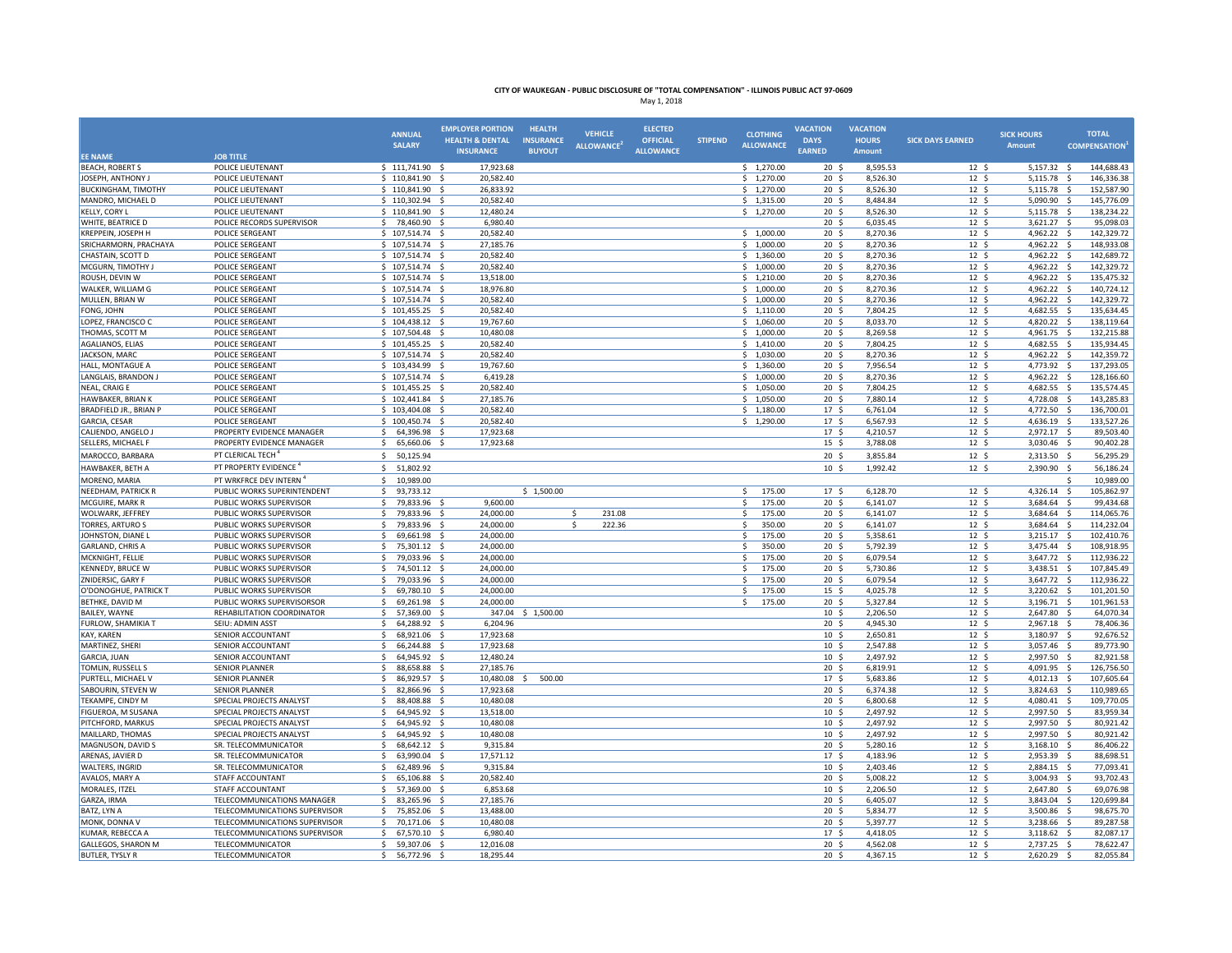|                                        |                                                      | <b>ANNUAL</b>                            | <b>EMPLOYER PORTION</b>        | <b>HEALTH</b>    | <b>VEHICLE</b>         | <b>ELECTED</b>   |                | <b>CLOTHING</b>                   | <b>VACATION</b>                     | <b>VACATION</b>      |                                     | <b>SICK HOURS</b>          | <b>TOTAL</b>                                    |
|----------------------------------------|------------------------------------------------------|------------------------------------------|--------------------------------|------------------|------------------------|------------------|----------------|-----------------------------------|-------------------------------------|----------------------|-------------------------------------|----------------------------|-------------------------------------------------|
|                                        |                                                      | <b>SALARY</b>                            | <b>HEALTH &amp; DENTAL</b>     | <b>INSURANCE</b> | <b>ALLOWANCE</b>       | OFFICIAL         | <b>STIPEND</b> | <b>ALLOWANCE</b>                  | <b>DAYS</b>                         | <b>HOURS</b>         | <b>SICK DAYS EARNED</b>             | <b>Amount</b>              | <b>COMPENSATION</b>                             |
| <b>EE NAME</b>                         | <b>JOB TITLE</b>                                     |                                          | <b>INSURANCE</b>               | <b>BUYOUT</b>    |                        | <b>ALLOWANCE</b> |                |                                   | <b>EARNED</b>                       | <b>Amount</b>        |                                     |                            |                                                 |
| <b>BEACH, ROBERT S</b>                 | POLICE LIEUTENANT                                    | $$111,741.90$ \$                         | 17,923.68                      |                  |                        |                  |                | \$1,270.00                        | $20 \frac{2}{3}$                    | 8,595.53             | 12 <sup>5</sup>                     | 5,157.32 \$                | 144,688.43                                      |
| JOSEPH, ANTHONY J                      | POLICE LIEUTENANT                                    | \$110,841.90\$                           | 20,582.40                      |                  |                        |                  |                | \$1,270.00                        | 20 <sub>5</sub>                     | 8,526.30             | 12 <sup>5</sup>                     | 5,115.78 \$                | 146,336.38                                      |
| <b>BUCKINGHAM, TIMOTHY</b>             | POLICE LIEUTENANT                                    | \$110,841.90\$                           | 26,833.92                      |                  |                        |                  |                | \$1,270.00                        | 20 <sub>5</sub>                     | 8,526.30             | $12\overline{5}$                    | 5,115.78                   | $\overline{\mathsf{s}}$<br>152,587.90           |
| MANDRO, MICHAEL D                      | POLICE LIEUTENANT                                    | \$110,302.94                             | 20,582.40                      |                  |                        |                  |                | \$1,315.00                        | 20 <sub>5</sub>                     | 8,484.84             | 12 <sup>5</sup>                     | 5,090.90                   | $\dot{\mathbf{s}}$<br>145,776.09                |
| KELLY, CORY L                          | POLICE LIEUTENANT                                    | \$110,841.90\$                           | 12,480.24                      |                  |                        |                  |                | \$1,270.00                        | 20 <sup>5</sup>                     | 8,526.30             | 12 <sup>5</sup>                     | 5,115.78                   | - \$<br>138,234.22                              |
| WHITE, BEATRICE D                      | POLICE RECORDS SUPERVISOR                            | \$78,460.90                              | 6,980.40                       |                  |                        |                  |                |                                   | 20 <sub>5</sub>                     | 6,035.45             | 12 <sup>5</sup>                     | 3,621.27                   | 95,098.03<br>-S                                 |
| KREPPEIN, JOSEPH H                     | POLICE SERGEANT                                      | $$107,514.74$ \$                         | 20,582.40                      |                  |                        |                  |                | \$1,000.00                        | 20 <sub>5</sub>                     | 8,270.36             | $12 \frac{2}{7}$                    | 4,962.22                   | s.<br>142.329.72                                |
| SRICHARMORN, PRACHAYA                  | POLICE SERGEANT                                      | $$107,514.74$ \$                         | 27,185.76                      |                  |                        |                  |                | \$1,000.00                        | $20 \frac{2}{3}$                    | 8,270.36             | $12 \quad$                          | 4,962.22                   | $\ddot{\mathsf{s}}$<br>148,933.08<br>142,689.72 |
| CHASTAIN, SCOTT D<br>MCGURN, TIMOTHY J | POLICE SERGEANT<br>POLICE SERGEANT                   | $$107,514.74$ \$                         | 20,582.40<br>20,582.40         |                  |                        |                  |                | \$1,360.00<br>\$1,000.00          | 20 <sub>5</sub><br>$20 \frac{2}{3}$ | 8,270.36<br>8,270.36 | 12 <sup>5</sup><br>$12 \frac{2}{7}$ | 4,962.22<br>4,962.22       | - \$<br>142,329.72<br>- \$                      |
| ROUSH, DEVIN W                         | POLICE SERGEANT                                      | $$107,514.74$ \$<br>$$107,514.74$ \$     | 13,518.00                      |                  |                        |                  |                | \$1,210.00                        | 20 <sub>5</sub>                     | 8,270.36             | 12 <sup>5</sup>                     | 4,962.22 \$                | 135,475.32                                      |
| WALKER, WILLIAM G                      | POLICE SERGEANT                                      | $$107,514.74$ \$                         | 18,976.80                      |                  |                        |                  |                | \$1,000.00                        | 20 <sub>5</sub>                     | 8,270.36             | 12 <sup>5</sup>                     | 4,962.22                   | $\ddot{\mathsf{s}}$<br>140,724.12               |
| MULLEN, BRIAN W                        | POLICE SERGEANT                                      | $$107,514.74$ \$                         | 20,582.40                      |                  |                        |                  |                | \$1,000.00                        | 20 <sub>5</sub>                     | 8,270.36             | 12 <sup>5</sup>                     | 4,962.22                   | $\mathsf{S}$<br>142,329.72                      |
| FONG, JOHN                             | POLICE SERGEANT                                      | $$101,455.25$ \$                         | 20,582.40                      |                  |                        |                  |                | \$1,110.00                        | 20 <sub>5</sub>                     | 7,804.25             | 12 <sup>5</sup>                     | 4,682.55 \$                | 135,634.45                                      |
| LOPEZ, FRANCISCO C                     | POLICE SERGEANT                                      | \$104,438.12\$                           | 19,767.60                      |                  |                        |                  |                | \$1,060.00                        | 20 <sub>5</sub>                     | 8,033.70             | 12 <sup>5</sup>                     | 4,820.22                   | 138,119.64<br>- S                               |
| THOMAS, SCOTT M                        | POLICE SERGEANT                                      | \$107,504.48                             | 10,480.08<br>- \$              |                  |                        |                  |                | \$1,000.00                        | 20 <sub>5</sub>                     | 8,269.58             | 12 <sup>5</sup>                     | 4,961.75                   | - Ś<br>132.215.88                               |
| AGALIANOS, ELIAS                       | POLICE SERGEANT                                      | \$101,455.25                             | 20,582.40                      |                  |                        |                  |                | \$1,410.00                        | $20 \frac{2}{3}$                    | 7,804.25             | $12 \frac{2}{7}$                    | 4,682.55                   | 135,934.45<br>s.                                |
| JACKSON, MARC                          | POLICE SERGEANT                                      | $$107,514.74$ \$                         | 20,582.40                      |                  |                        |                  |                | \$1,030.00                        | 20 <sub>5</sub>                     | 8,270.36             | 12 <sup>5</sup>                     | 4,962.22                   | $\leq$<br>142,359.72                            |
| HALL, MONTAGUE A                       | POLICE SERGEANT                                      | \$103,434.99                             | 19,767.60                      |                  |                        |                  |                | \$1,360.00                        | $20 \frac{2}{3}$                    | 7,956.54             | $12 \frac{2}{7}$                    | 4,773.92                   | 137,293.05<br>- \$                              |
| LANGLAIS, BRANDON J                    | POLICE SERGEANT                                      | $$107,514.74$ \$                         | 6,419.28                       |                  |                        |                  |                | \$1,000.00                        | 20 <sub>5</sub>                     | 8,270.36             | 12 <sup>5</sup>                     | 4,962.22 \$                | 128,166.60                                      |
| NEAL, CRAIG E                          | POLICE SERGEANT                                      | \$101,455.25                             | 20,582.40                      |                  |                        |                  |                | \$1,050.00                        | $20 \frac{2}{3}$                    | 7,804.25             | $12 \quad$                          | 4,682.55 \$                | 135,574.45                                      |
| HAWBAKER, BRIAN K                      | POLICE SERGEANT                                      | \$102,441.84                             | 27,185.76                      |                  |                        |                  |                | \$1,050.00                        | 20 <sub>5</sub>                     | 7,880.14             | 12 <sup>5</sup>                     | 4,728.08                   | 143,285.83<br>−\$                               |
| BRADFIELD JR., BRIAN P                 | POLICE SERGEANT                                      | \$103,404.08\$                           | 20,582.40                      |                  |                        |                  |                | \$1,180.00                        | 17 <sup>5</sup>                     | 6,761.04             | 12 <sup>5</sup>                     | 4,772.50 \$                | 136,700.01                                      |
| GARCIA, CESAR                          | POLICE SERGEANT                                      | \$100,450.74\$                           | 20,582.40                      |                  |                        |                  |                | \$1,290.00                        | 17 <sup>5</sup>                     | 6,567.93             | 12 <sup>5</sup>                     | 4,636.19                   | 133,527.26<br>- S                               |
| CALIENDO, ANGELO J                     | PROPERTY EVIDENCE MANAGER                            | 64,396.98<br>-S                          | 17,923.68<br>- \$              |                  |                        |                  |                |                                   | 17 <sup>5</sup>                     | 4,210.57             | 12 <sup>5</sup>                     | 2,972.17 \$                | 89.503.40                                       |
| SELLERS, MICHAEL F                     | PROPERTY EVIDENCE MANAGER                            | 65,660.06<br>-S                          | 17,923.68<br>- \$              |                  |                        |                  |                |                                   | 15 <sup>5</sup>                     | 3,788.08             | 12 <sup>5</sup>                     | 3,030.46                   | 90,402.28<br>-S                                 |
| MAROCCO, BARBARA                       | PT CLERICAL TECH <sup>®</sup>                        | S.<br>50,125.94                          |                                |                  |                        |                  |                |                                   | 20 <sub>5</sub>                     | 3,855.84             | 12 <sup>5</sup>                     | 2,313.50 \$                | 56,295.29                                       |
| HAWBAKER, BETH A                       | PT PROPERTY EVIDENCE                                 | \$<br>51,802.92                          |                                |                  |                        |                  |                |                                   | 10 <sup>5</sup>                     | 1,992.42             | $12 \frac{2}{7}$                    | 2,390.90                   | 56,186.24<br>-\$                                |
| MORENO, MARIA                          | PT WRKFRCE DEV INTERN                                | 10,989.00<br>$\mathsf{S}$                |                                |                  |                        |                  |                |                                   |                                     |                      |                                     |                            | 10,989.00<br><sup>\$</sup>                      |
| NEEDHAM, PATRICK R                     | PUBLIC WORKS SUPERINTENDENT                          | $\mathsf{S}$<br>93,733.12                |                                | \$1,500.00       |                        |                  |                | \$<br>175.00                      | 17 <sup>5</sup>                     | 6,128.70             | 12 <sup>5</sup>                     | 4,326.14 \$                | 105,862.97                                      |
| MCGUIRE, MARK R                        | PUBLIC WORKS SUPERVISOR                              | 79,833.96<br>-Ś                          | 9,600.00                       |                  |                        |                  |                | Ŝ.<br>175.00                      | 20 <sub>5</sub>                     | 6,141.07             | 12 <sup>5</sup>                     | 3,684.64                   | 99,434.68<br>s.                                 |
| WOLWARK, JEFFREY                       | PUBLIC WORKS SUPERVISOR                              | Ŝ.<br>79.833.96                          | - Ś<br>24.000.00               |                  | Ŝ.<br>231.08<br>222.36 |                  |                | Ŝ.<br>175.00<br>Ŝ                 | 20 <sub>5</sub>                     | 6.141.07             | 12 <sup>5</sup>                     | 3.684.64                   | s.<br>114.065.76<br>114,232.04                  |
| TORRES, ARTURO S<br>JOHNSTON, DIANE I  | PUBLIC WORKS SUPERVISOR<br>PUBLIC WORKS SUPERVISOR   | \$<br>79,833.96 \$<br>\$<br>69,661.98 \$ | 24,000.00<br>24,000.00         |                  | \$.                    |                  |                | 350.00<br>$\mathcal{S}$<br>175.00 | $20 \frac{2}{3}$<br>20 <sup>5</sup> | 6,141.07<br>5,358.61 | $12 \frac{1}{2}$<br>12 <sup>5</sup> | 3,684.64 \$<br>3,215.17 \$ | 102,410.76                                      |
| GARLAND, CHRIS A                       | PUBLIC WORKS SUPERVISOR                              | \$<br>75,301.12                          | 24,000.00                      |                  |                        |                  |                | 350.00<br>\$                      | $20 \frac{2}{3}$                    | 5,792.39             | $12 \quad$                          | 3,475.44                   | $\ddot{\varsigma}$<br>108,918.95                |
| MCKNIGHT, FELLIE                       | PUBLIC WORKS SUPERVISOR                              | \$<br>79,033.96 \$                       | 24,000.00                      |                  |                        |                  |                | S.<br>175.00                      | 20 <sub>5</sub>                     | 6,079.54             | 12 <sup>5</sup>                     | 3,647.72 \$                | 112,936.22                                      |
| KENNEDY, BRUCE W                       | PUBLIC WORKS SUPERVISOR                              | \$<br>74,501.12 \$                       | 24,000.00                      |                  |                        |                  |                | \$<br>175.00                      | $20 \frac{2}{3}$                    | 5,730.86             | $12 \frac{2}{7}$                    | 3,438.51                   | 107,845.49<br>- \$                              |
| ZNIDERSIC, GARY F                      | PUBLIC WORKS SUPERVISOR                              | $\mathsf{S}$<br>79,033.96 \$             | 24,000.00                      |                  |                        |                  |                | 175.00<br>$\mathsf{s}$            | 20 <sub>5</sub>                     | 6,079.54             | 12 <sup>5</sup>                     | 3,647.72                   | 112,936.22<br>−\$                               |
| O'DONOGHUE, PATRICK T                  | PUBLIC WORKS SUPERVISOR                              | <sup>5</sup><br>69,780.10                | 24,000.00<br>- \$              |                  |                        |                  |                | 175.00<br><sup>\$</sup>           | 15 <sup>5</sup>                     | 4,025.78             | $12 \quad$                          | 3,220.62                   | $\mathsf{s}$<br>101,201.50                      |
| BETHKE, DAVID M                        | PUBLIC WORKS SUPERVISORSOR                           | -Ś<br>69,261.98                          | 24,000.00                      |                  |                        |                  |                | Ŝ.<br>175.00                      | 20 <sub>5</sub>                     | 5,327.84             | 12 <sup>5</sup>                     | 3,196.71                   | 101,961.53<br>-\$                               |
| BAILEY, WAYNE                          | REHABILITATION COORDINATOR                           | 57.369.00<br>-S                          | 347.04<br>- \$                 | \$1,500.00       |                        |                  |                |                                   | 10 <sub>5</sub>                     | 2.206.50             | 12 <sup>5</sup>                     | 2.647.80                   | s.<br>64.070.34                                 |
| <b>FURLOW, SHAMIKIA T</b>              | SEIU: ADMIN ASST                                     | -S<br>64,288.92 \$                       | 6,204.96                       |                  |                        |                  |                |                                   | 20 <sub>5</sub>                     | 4,945.30             | 12 <sup>5</sup>                     | 2,967.18                   | 78,406.36<br>- S                                |
| KAY, KAREN                             | SENIOR ACCOUNTANT                                    | Ŝ.<br>68,921.06 \$                       | 17,923.68                      |                  |                        |                  |                |                                   | 10 <sup>5</sup>                     | 2.650.81             | 12 <sup>5</sup>                     | 3.180.97 \$                | 92.676.52                                       |
| MARTINEZ, SHERI                        | SENIOR ACCOUNTANT                                    | -\$<br>66,244.88                         | 17,923.68                      |                  |                        |                  |                |                                   | 10 <sup>5</sup>                     | 2,547.88             | $12 \text{ }$                       | 3,057.46                   | 89,773.90<br>-\$                                |
| GARCIA, JUAN                           | SENIOR ACCOUNTANT                                    | -Ś<br>64,945.92                          | 12,480.24<br>- S               |                  |                        |                  |                |                                   | 10 <sup>5</sup>                     | 2,497.92             | 12 <sup>5</sup>                     | 2,997.50 \$                | 82,921.58                                       |
| TOMLIN, RUSSELL S                      | <b>SENIOR PLANNER</b>                                | 88,658.88 \$<br>\$                       | 27,185.76                      |                  |                        |                  |                |                                   | $20 \frac{2}{3}$                    | 6,819.91             | $12 \frac{2}{7}$                    | 4,091.95 \$                | 126,756.50                                      |
| PURTELL, MICHAEL V                     | <b>SENIOR PLANNER</b>                                | \$<br>86,929.57                          | 10,480.08                      | 500.00           |                        |                  |                |                                   | 17 <sup>5</sup>                     | 5,683.86             | 12 <sup>5</sup>                     | 4,012.13                   | 107,605.64                                      |
| SABOURIN, STEVEN W                     | <b>SENIOR PLANNER</b>                                | <sup>5</sup><br>82,866.96                | 17,923.68<br>$\mathbf{S}$      |                  |                        |                  |                |                                   | 20 <sub>5</sub>                     | 6,374.38             | $12 \quad$                          | 3,824.63                   | 110,989.65<br>-\$                               |
| TEKAMPE, CINDY M<br>FIGUEROA, M SUSANA | SPECIAL PROJECTS ANALYST<br>SPECIAL PROJECTS ANALYST | -Ś<br>88,408.88<br>64,945.92<br>\$       | 10,480.08<br>13,518.00<br>- \$ |                  |                        |                  |                |                                   | 20 <sub>5</sub><br>10 <sup>5</sup>  | 6,800.68<br>2,497.92 | 12 <sup>5</sup><br>12 <sup>5</sup>  | 4,080.41<br>2.997.50       | 109,770.05<br>-\$<br>83,959.34                  |
| PITCHFORD, MARKUS                      | SPECIAL PROJECTS ANALYST                             | -S<br>64,945.92 \$                       | 10,480.08                      |                  |                        |                  |                |                                   | 10 <sup>5</sup>                     | 2,497.92             | 12 <sup>5</sup>                     | 2,997.50 \$                | 80,921.42                                       |
| MAILLARD, THOMAS                       | SPECIAL PROJECTS ANALYST                             | Ŝ.<br>64,945.92 \$                       | 10,480.08                      |                  |                        |                  |                |                                   | 10 <sup>5</sup>                     | 2,497.92             | 12 <sup>5</sup>                     | 2,997.50 \$                | 80,921.42                                       |
| MAGNUSON, DAVID S                      | SR. TELECOMMUNICATOR                                 | \$<br>68,642.12                          | 9,315.84                       |                  |                        |                  |                |                                   | 20 <sub>5</sub>                     | 5,280.16             | 12 <sup>5</sup>                     | 3,168.10                   | 86,406.22<br>s.                                 |
| ARENAS, JAVIER D                       | SR. TELECOMMUNICATOR                                 | \$<br>63,990.04 \$                       | 17,571.12                      |                  |                        |                  |                |                                   | 17 <sup>5</sup>                     | 4,183.96             | $12 \frac{2}{7}$                    | 2,953.39                   | 88,698.51<br>- S                                |
| WALTERS, INGRID                        | SR. TELECOMMUNICATOR                                 | 62,489.96 \$<br>\$                       | 9,315.84                       |                  |                        |                  |                |                                   | 10 <sup>5</sup>                     | 2,403.46             | $12 \frac{2}{7}$                    | 2,884.15 \$                | 77,093.41                                       |
| AVALOS, MARY A                         | STAFF ACCOUNTANT                                     | \$<br>65,106.88 \$                       | 20,582.40                      |                  |                        |                  |                |                                   | 20 <sub>5</sub>                     | 5,008.22             | 12 <sup>5</sup>                     | 3,004.93                   | 93,702.43                                       |
| MORALES, ITZEL                         | STAFF ACCOUNTANT                                     | 57,369.00<br>\$                          | 6,853.68<br>- S                |                  |                        |                  |                |                                   | 10 <sup>5</sup>                     | 2,206.50             | $12 \quad$                          | 2,647.80                   | 69,076.98<br>−\$                                |
| GARZA, IRMA                            | TELECOMMUNICATIONS MANAGER                           | 83,265.96<br>-Ś                          | 27,185.76                      |                  |                        |                  |                |                                   | 20 <sub>5</sub>                     | 6,405.07             | 12 <sup>5</sup>                     | 3,843.04                   | 120,699.84<br>-\$                               |
| BATZ, LYN A                            | TELECOMMUNICATIONS SUPERVISOR                        | 75,852.06<br>\$                          | 13,488.00<br>- \$              |                  |                        |                  |                |                                   | 20 <sub>5</sub>                     | 5,834.77             | 12S                                 | 3,500.86                   | 98.675.70<br>−\$                                |
| MONK, DONNA V                          | TELECOMMUNICATIONS SUPERVISOR                        | S.<br>70,171.06 \$                       | 10,480.08                      |                  |                        |                  |                |                                   | 20 <sub>5</sub>                     | 5,397.77             | 12 <sup>5</sup>                     | 3,238.66                   | 89,287.58<br>- \$                               |
| KUMAR, REBECCA A                       | TELECOMMUNICATIONS SUPERVISOR                        | \$<br>67,570.10 \$                       | 6,980.40                       |                  |                        |                  |                |                                   | 17 <sup>5</sup>                     | 4.418.05             | 12S                                 | 3,118.62 \$                | 82,087.17                                       |
| <b>GALLEGOS, SHARON M</b>              | TELECOMMUNICATOR                                     | \$<br>59,307.06                          | 12,016.08<br>- \$              |                  |                        |                  |                |                                   | 20 <sub>5</sub>                     | 4,562.08             | 12 <sup>5</sup>                     | 2,737.25                   | 78,622.47<br>-\$                                |
| <b>BUTLER, TYSLY R</b>                 | TELECOMMUNICATOR                                     | 56,772.96 \$<br>-S                       | 18.295.44                      |                  |                        |                  |                |                                   | 20 <sub>5</sub>                     | 4.367.15             | 12 <sup>5</sup>                     | 2,620.29                   | -\$<br>82.055.84                                |